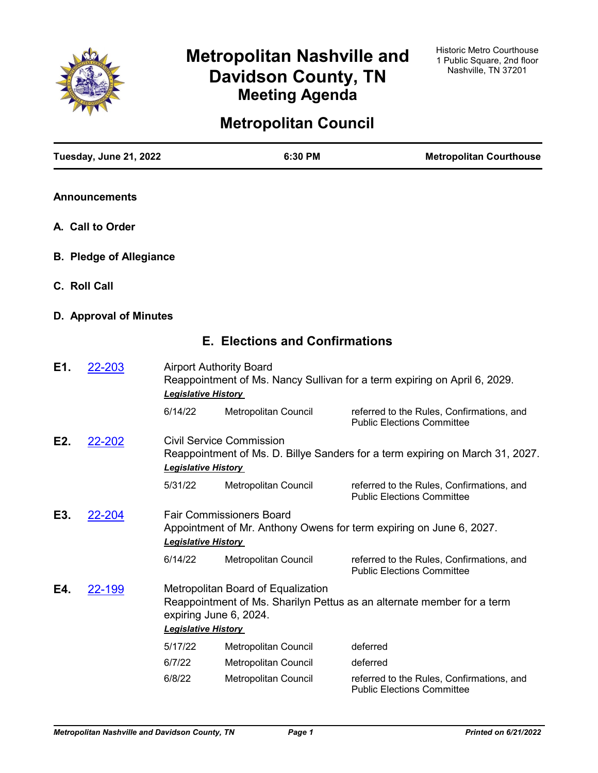

# **Metropolitan Nashville and Davidson County, TN Meeting Agenda**

# **Metropolitan Council**

|     | Tuesday, June 21, 2022         |                                                                                                                                                | 6:30 PM                                                      | <b>Metropolitan Courthouse</b>                                                 |  |
|-----|--------------------------------|------------------------------------------------------------------------------------------------------------------------------------------------|--------------------------------------------------------------|--------------------------------------------------------------------------------|--|
|     | <b>Announcements</b>           |                                                                                                                                                |                                                              |                                                                                |  |
|     | A. Call to Order               |                                                                                                                                                |                                                              |                                                                                |  |
|     | <b>B. Pledge of Allegiance</b> |                                                                                                                                                |                                                              |                                                                                |  |
|     | C. Roll Call                   |                                                                                                                                                |                                                              |                                                                                |  |
|     | D. Approval of Minutes         |                                                                                                                                                |                                                              |                                                                                |  |
|     |                                |                                                                                                                                                | <b>E. Elections and Confirmations</b>                        |                                                                                |  |
| E1. | 22-203                         | <b>Legislative History</b>                                                                                                                     | <b>Airport Authority Board</b>                               | Reappointment of Ms. Nancy Sullivan for a term expiring on April 6, 2029.      |  |
|     |                                | 6/14/22                                                                                                                                        | Metropolitan Council                                         | referred to the Rules, Confirmations, and<br><b>Public Elections Committee</b> |  |
| E2. | 22-202                         | <b>Civil Service Commission</b><br>Reappointment of Ms. D. Billye Sanders for a term expiring on March 31, 2027.<br><b>Legislative History</b> |                                                              |                                                                                |  |
|     |                                | 5/31/22                                                                                                                                        | Metropolitan Council                                         | referred to the Rules, Confirmations, and<br><b>Public Elections Committee</b> |  |
| E3. | 22-204                         | <b>Fair Commissioners Board</b><br>Appointment of Mr. Anthony Owens for term expiring on June 6, 2027.<br><b>Legislative History</b>           |                                                              |                                                                                |  |
|     |                                | 6/14/22                                                                                                                                        | Metropolitan Council                                         | referred to the Rules, Confirmations, and<br><b>Public Elections Committee</b> |  |
| E4. | <u>22-199</u>                  |                                                                                                                                                | Metropolitan Board of Equalization<br>expiring June 6, 2024. | Reappointment of Ms. Sharilyn Pettus as an alternate member for a term         |  |
|     |                                | <b>Legislative History</b>                                                                                                                     |                                                              |                                                                                |  |
|     |                                | 5/17/22                                                                                                                                        | Metropolitan Council                                         | deferred                                                                       |  |
|     |                                | 6/7/22                                                                                                                                         | Metropolitan Council                                         | deferred                                                                       |  |
|     |                                | 6/8/22                                                                                                                                         | Metropolitan Council                                         | referred to the Rules, Confirmations, and<br><b>Public Elections Committee</b> |  |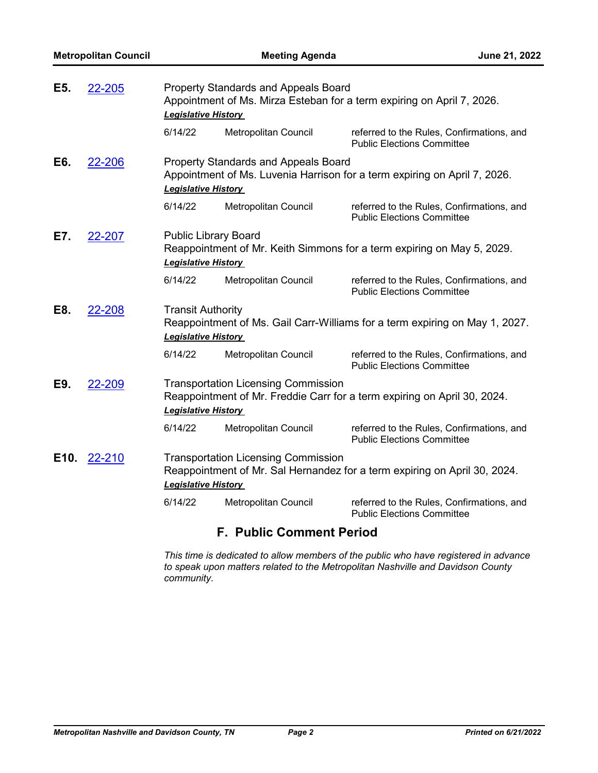| E5.                                                                                                                                                                     | 22-205 | <b>Property Standards and Appeals Board</b><br>Appointment of Ms. Mirza Esteban for a term expiring on April 7, 2026.<br><b>Legislative History</b>    |                             |                                                                                |  |  |
|-------------------------------------------------------------------------------------------------------------------------------------------------------------------------|--------|--------------------------------------------------------------------------------------------------------------------------------------------------------|-----------------------------|--------------------------------------------------------------------------------|--|--|
|                                                                                                                                                                         |        | 6/14/22                                                                                                                                                | Metropolitan Council        | referred to the Rules, Confirmations, and<br><b>Public Elections Committee</b> |  |  |
| E6.                                                                                                                                                                     | 22-206 | <b>Property Standards and Appeals Board</b><br>Appointment of Ms. Luvenia Harrison for a term expiring on April 7, 2026.<br><b>Legislative History</b> |                             |                                                                                |  |  |
|                                                                                                                                                                         |        | 6/14/22                                                                                                                                                | Metropolitan Council        | referred to the Rules, Confirmations, and<br><b>Public Elections Committee</b> |  |  |
| E7.<br><b>Public Library Board</b><br>22-207<br><b>Legislative History</b>                                                                                              |        |                                                                                                                                                        |                             | Reappointment of Mr. Keith Simmons for a term expiring on May 5, 2029.         |  |  |
|                                                                                                                                                                         |        | 6/14/22                                                                                                                                                | Metropolitan Council        | referred to the Rules, Confirmations, and<br><b>Public Elections Committee</b> |  |  |
| E8.                                                                                                                                                                     | 22-208 | <b>Transit Authority</b><br>Reappointment of Ms. Gail Carr-Williams for a term expiring on May 1, 2027.<br><b>Legislative History</b>                  |                             |                                                                                |  |  |
|                                                                                                                                                                         |        | 6/14/22                                                                                                                                                | Metropolitan Council        | referred to the Rules, Confirmations, and<br><b>Public Elections Committee</b> |  |  |
| <b>Transportation Licensing Commission</b><br>E9.<br>22-209<br><b>Legislative History</b>                                                                               |        |                                                                                                                                                        |                             | Reappointment of Mr. Freddie Carr for a term expiring on April 30, 2024.       |  |  |
|                                                                                                                                                                         |        | 6/14/22                                                                                                                                                | Metropolitan Council        | referred to the Rules, Confirmations, and<br><b>Public Elections Committee</b> |  |  |
| <b>Transportation Licensing Commission</b><br>E10.<br>22-210<br>Reappointment of Mr. Sal Hernandez for a term expiring on April 30, 2024.<br><b>Legislative History</b> |        |                                                                                                                                                        |                             |                                                                                |  |  |
|                                                                                                                                                                         |        | 6/14/22                                                                                                                                                | <b>Metropolitan Council</b> | referred to the Rules, Confirmations, and<br><b>Public Elections Committee</b> |  |  |

## **F. Public Comment Period**

*This time is dedicated to allow members of the public who have registered in advance to speak upon matters related to the Metropolitan Nashville and Davidson County community.*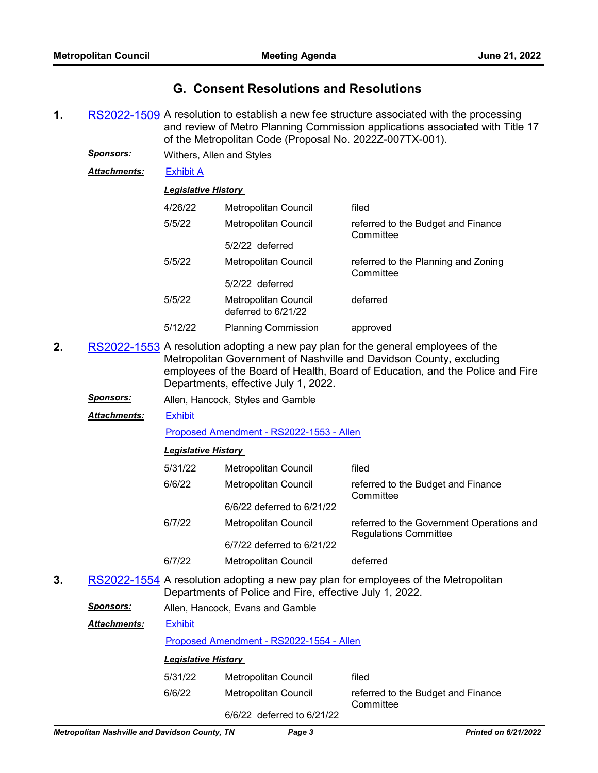## **G. Consent Resolutions and Resolutions**

- **1.** [RS2022-1509](http://nashville.legistar.com/gateway.aspx?m=l&id=/matter.aspx?key=14422) A resolution to establish a new fee structure associated with the processing and review of Metro Planning Commission applications associated with Title 17 of the Metropolitan Code (Proposal No. 2022Z-007TX-001).
	- *Sponsors:* Withers, Allen and Styles

*Attachments:* [Exhibit A](http://nashville.legistar.com/gateway.aspx?M=F&ID=9d692622-9a07-4b86-b5dd-fdac212ae749.pdf)

## *Legislative History*

| 4/26/22 | Metropolitan Council                        | filed                                            |
|---------|---------------------------------------------|--------------------------------------------------|
| 5/5/22  | Metropolitan Council                        | referred to the Budget and Finance<br>Committee  |
|         | $5/2/22$ deferred                           |                                                  |
| 5/5/22  | Metropolitan Council                        | referred to the Planning and Zoning<br>Committee |
|         | $5/2/22$ deferred                           |                                                  |
| 5/5/22  | Metropolitan Council<br>deferred to 6/21/22 | deferred                                         |
| 5/12/22 | <b>Planning Commission</b>                  | approved                                         |

- **2.** [RS2022-1553](http://nashville.legistar.com/gateway.aspx?m=l&id=/matter.aspx?key=14587) A resolution adopting a new pay plan for the general employees of the Metropolitan Government of Nashville and Davidson County, excluding employees of the Board of Health, Board of Education, and the Police and Fire Departments, effective July 1, 2022.
	- *Sponsors:* Allen, Hancock, Styles and Gamble

#### **[Exhibit](http://nashville.legistar.com/gateway.aspx?M=F&ID=193dbba9-93c5-4ba4-85a5-28c4cb70a1f2.pdf)** *Attachments:*

[Proposed Amendment - RS2022-1553 - Allen](http://nashville.legistar.com/gateway.aspx?M=F&ID=ac2805e9-fde1-4cc0-a47f-0349558408bf.docx)

## *Legislative History*

| 5/31/22 | <b>Metropolitan Council</b> | filed                                                                     |
|---------|-----------------------------|---------------------------------------------------------------------------|
| 6/6/22  | Metropolitan Council        | referred to the Budget and Finance<br>Committee                           |
|         | 6/6/22 deferred to 6/21/22  |                                                                           |
| 6/7/22  | Metropolitan Council        | referred to the Government Operations and<br><b>Regulations Committee</b> |
|         | 6/7/22 deferred to 6/21/22  |                                                                           |
| 6/7/22  | Metropolitan Council        | deferred                                                                  |

- **3.** [RS2022-1554](http://nashville.legistar.com/gateway.aspx?m=l&id=/matter.aspx?key=14588) A resolution adopting a new pay plan for employees of the Metropolitan Departments of Police and Fire, effective July 1, 2022.
	- *Sponsors:* Allen, Hancock, Evans and Gamble

| <b>Attachments:</b> | <b>Exhibit</b>                           |                      |       |
|---------------------|------------------------------------------|----------------------|-------|
|                     | Proposed Amendment - RS2022-1554 - Allen |                      |       |
|                     | <b>Legislative History</b>               |                      |       |
|                     | 5/31/22                                  | Metropolitan Council | filed |

| 313 1122 I | <b>Metropolitan Council</b> | mea                                             |
|------------|-----------------------------|-------------------------------------------------|
| 6/6/22     | Metropolitan Council        | referred to the Budget and Finance<br>Committee |

6/6/22 deferred to 6/21/22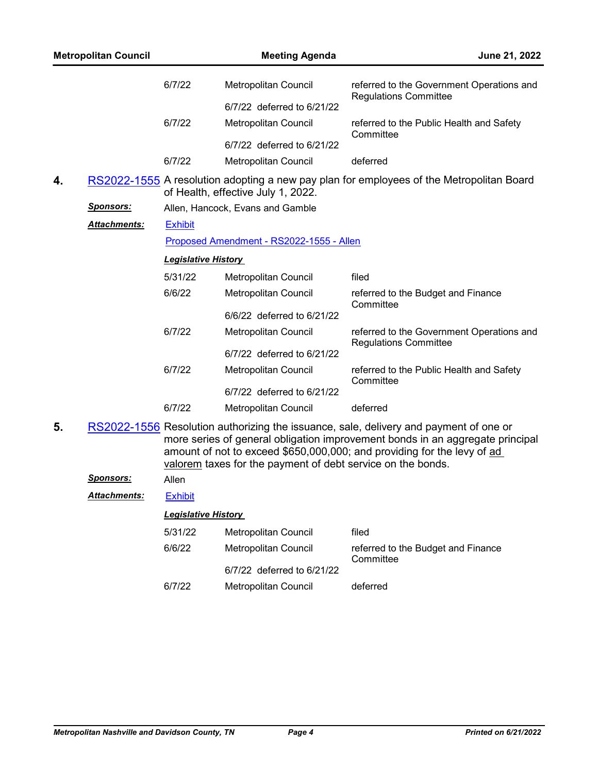| <b>Metropolitan Council</b> |                     |                                                                                                                                                                                                                                                                                                                  | June 21, 2022                            |                                                                                          |  |  |  |
|-----------------------------|---------------------|------------------------------------------------------------------------------------------------------------------------------------------------------------------------------------------------------------------------------------------------------------------------------------------------------------------|------------------------------------------|------------------------------------------------------------------------------------------|--|--|--|
|                             |                     | 6/7/22                                                                                                                                                                                                                                                                                                           | Metropolitan Council                     | referred to the Government Operations and<br><b>Regulations Committee</b>                |  |  |  |
|                             |                     |                                                                                                                                                                                                                                                                                                                  | 6/7/22 deferred to 6/21/22               |                                                                                          |  |  |  |
|                             |                     | 6/7/22                                                                                                                                                                                                                                                                                                           | Metropolitan Council                     | referred to the Public Health and Safety<br>Committee                                    |  |  |  |
|                             |                     |                                                                                                                                                                                                                                                                                                                  | 6/7/22 deferred to 6/21/22               |                                                                                          |  |  |  |
|                             |                     | 6/7/22                                                                                                                                                                                                                                                                                                           | Metropolitan Council                     | deferred                                                                                 |  |  |  |
| 4.                          |                     |                                                                                                                                                                                                                                                                                                                  | of Health, effective July 1, 2022.       | RS2022-1555 A resolution adopting a new pay plan for employees of the Metropolitan Board |  |  |  |
|                             | <u>Sponsors:</u>    |                                                                                                                                                                                                                                                                                                                  | Allen, Hancock, Evans and Gamble         |                                                                                          |  |  |  |
|                             | Attachments:        | <b>Exhibit</b>                                                                                                                                                                                                                                                                                                   |                                          |                                                                                          |  |  |  |
|                             |                     |                                                                                                                                                                                                                                                                                                                  | Proposed Amendment - RS2022-1555 - Allen |                                                                                          |  |  |  |
|                             |                     | <b>Legislative History</b>                                                                                                                                                                                                                                                                                       |                                          |                                                                                          |  |  |  |
|                             |                     | 5/31/22                                                                                                                                                                                                                                                                                                          | Metropolitan Council                     | filed                                                                                    |  |  |  |
|                             |                     | 6/6/22                                                                                                                                                                                                                                                                                                           | Metropolitan Council                     | referred to the Budget and Finance<br>Committee                                          |  |  |  |
|                             |                     |                                                                                                                                                                                                                                                                                                                  | 6/6/22 deferred to 6/21/22               |                                                                                          |  |  |  |
|                             |                     | 6/7/22                                                                                                                                                                                                                                                                                                           | Metropolitan Council                     | referred to the Government Operations and                                                |  |  |  |
|                             |                     |                                                                                                                                                                                                                                                                                                                  | 6/7/22 deferred to 6/21/22               | <b>Regulations Committee</b>                                                             |  |  |  |
|                             |                     | 6/7/22                                                                                                                                                                                                                                                                                                           | Metropolitan Council                     | referred to the Public Health and Safety<br>Committee                                    |  |  |  |
|                             |                     |                                                                                                                                                                                                                                                                                                                  | 6/7/22 deferred to 6/21/22               |                                                                                          |  |  |  |
|                             |                     | 6/7/22                                                                                                                                                                                                                                                                                                           | Metropolitan Council                     | deferred                                                                                 |  |  |  |
| 5.                          |                     | RS2022-1556 Resolution authorizing the issuance, sale, delivery and payment of one or<br>more series of general obligation improvement bonds in an aggregate principal<br>amount of not to exceed \$650,000,000; and providing for the levy of ad<br>valorem taxes for the payment of debt service on the bonds. |                                          |                                                                                          |  |  |  |
|                             | Sponsors:           | Allen                                                                                                                                                                                                                                                                                                            |                                          |                                                                                          |  |  |  |
|                             | <b>Attachments:</b> | <b>Exhibit</b>                                                                                                                                                                                                                                                                                                   |                                          |                                                                                          |  |  |  |
|                             |                     | <b>Legislative History</b>                                                                                                                                                                                                                                                                                       |                                          |                                                                                          |  |  |  |
|                             |                     | 5/31/22                                                                                                                                                                                                                                                                                                          | Metropolitan Council                     | filed                                                                                    |  |  |  |
|                             |                     | 6/6/22                                                                                                                                                                                                                                                                                                           | Metropolitan Council                     | referred to the Budget and Finance<br>Committee                                          |  |  |  |
|                             |                     |                                                                                                                                                                                                                                                                                                                  | 6/7/22 deferred to 6/21/22               |                                                                                          |  |  |  |
|                             |                     | 6/7/22                                                                                                                                                                                                                                                                                                           | Metropolitan Council                     | deferred                                                                                 |  |  |  |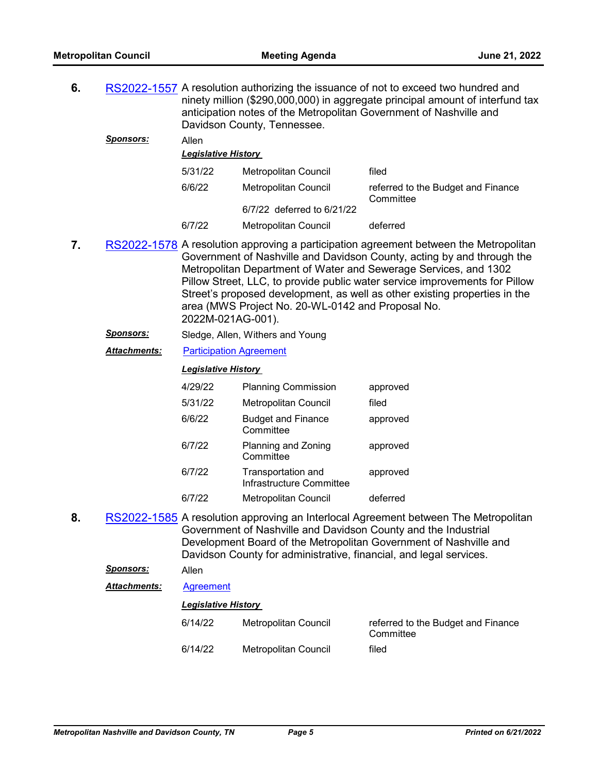| 6.                                                   |                     | RS2022-1557 A resolution authorizing the issuance of not to exceed two hundred and<br>ninety million (\$290,000,000) in aggregate principal amount of interfund tax<br>anticipation notes of the Metropolitan Government of Nashville and<br>Davidson County, Tennessee.                                                                                                                                                                                                   |                                                                                                                                      |                                                                                                                                                          |  |  |
|------------------------------------------------------|---------------------|----------------------------------------------------------------------------------------------------------------------------------------------------------------------------------------------------------------------------------------------------------------------------------------------------------------------------------------------------------------------------------------------------------------------------------------------------------------------------|--------------------------------------------------------------------------------------------------------------------------------------|----------------------------------------------------------------------------------------------------------------------------------------------------------|--|--|
|                                                      | Sponsors:           | Allen                                                                                                                                                                                                                                                                                                                                                                                                                                                                      |                                                                                                                                      |                                                                                                                                                          |  |  |
|                                                      |                     | <b>Legislative History</b>                                                                                                                                                                                                                                                                                                                                                                                                                                                 |                                                                                                                                      |                                                                                                                                                          |  |  |
|                                                      |                     | 5/31/22                                                                                                                                                                                                                                                                                                                                                                                                                                                                    | Metropolitan Council                                                                                                                 | filed                                                                                                                                                    |  |  |
|                                                      |                     | 6/6/22                                                                                                                                                                                                                                                                                                                                                                                                                                                                     | Metropolitan Council                                                                                                                 | referred to the Budget and Finance<br>Committee                                                                                                          |  |  |
|                                                      |                     |                                                                                                                                                                                                                                                                                                                                                                                                                                                                            | 6/7/22 deferred to 6/21/22                                                                                                           |                                                                                                                                                          |  |  |
|                                                      |                     | 6/7/22                                                                                                                                                                                                                                                                                                                                                                                                                                                                     | Metropolitan Council                                                                                                                 | deferred                                                                                                                                                 |  |  |
| 7.                                                   |                     | RS2022-1578 A resolution approving a participation agreement between the Metropolitan<br>Government of Nashville and Davidson County, acting by and through the<br>Metropolitan Department of Water and Sewerage Services, and 1302<br>Pillow Street, LLC, to provide public water service improvements for Pillow<br>Street's proposed development, as well as other existing properties in the<br>area (MWS Project No. 20-WL-0142 and Proposal No.<br>2022M-021AG-001). |                                                                                                                                      |                                                                                                                                                          |  |  |
| <b>Sponsors:</b><br>Sledge, Allen, Withers and Young |                     |                                                                                                                                                                                                                                                                                                                                                                                                                                                                            |                                                                                                                                      |                                                                                                                                                          |  |  |
|                                                      | <b>Attachments:</b> | <b>Participation Agreement</b>                                                                                                                                                                                                                                                                                                                                                                                                                                             |                                                                                                                                      |                                                                                                                                                          |  |  |
|                                                      |                     | <b>Legislative History</b>                                                                                                                                                                                                                                                                                                                                                                                                                                                 |                                                                                                                                      |                                                                                                                                                          |  |  |
|                                                      |                     | 4/29/22                                                                                                                                                                                                                                                                                                                                                                                                                                                                    | <b>Planning Commission</b>                                                                                                           | approved                                                                                                                                                 |  |  |
|                                                      |                     | 5/31/22                                                                                                                                                                                                                                                                                                                                                                                                                                                                    | Metropolitan Council                                                                                                                 | filed                                                                                                                                                    |  |  |
|                                                      |                     | 6/6/22                                                                                                                                                                                                                                                                                                                                                                                                                                                                     | <b>Budget and Finance</b><br>Committee                                                                                               | approved                                                                                                                                                 |  |  |
|                                                      |                     | 6/7/22                                                                                                                                                                                                                                                                                                                                                                                                                                                                     | Planning and Zoning<br>Committee                                                                                                     | approved                                                                                                                                                 |  |  |
|                                                      |                     | 6/7/22                                                                                                                                                                                                                                                                                                                                                                                                                                                                     | Transportation and<br>Infrastructure Committee                                                                                       | approved                                                                                                                                                 |  |  |
|                                                      |                     | 6/7/22                                                                                                                                                                                                                                                                                                                                                                                                                                                                     | Metropolitan Council                                                                                                                 | deferred                                                                                                                                                 |  |  |
| 8.                                                   |                     |                                                                                                                                                                                                                                                                                                                                                                                                                                                                            | Government of Nashville and Davidson County and the Industrial<br>Davidson County for administrative, financial, and legal services. | RS2022-1585 A resolution approving an Interlocal Agreement between The Metropolitan<br>Development Board of the Metropolitan Government of Nashville and |  |  |
|                                                      | <u>Sponsors:</u>    | Allen                                                                                                                                                                                                                                                                                                                                                                                                                                                                      |                                                                                                                                      |                                                                                                                                                          |  |  |
|                                                      | Attachments:        | <b>Agreement</b>                                                                                                                                                                                                                                                                                                                                                                                                                                                           |                                                                                                                                      |                                                                                                                                                          |  |  |
|                                                      |                     | <b>Legislative History</b>                                                                                                                                                                                                                                                                                                                                                                                                                                                 |                                                                                                                                      |                                                                                                                                                          |  |  |
|                                                      |                     | 6/14/22                                                                                                                                                                                                                                                                                                                                                                                                                                                                    | Metropolitan Council                                                                                                                 | referred to the Budget and Finance<br>Committee                                                                                                          |  |  |
|                                                      |                     | 6/14/22                                                                                                                                                                                                                                                                                                                                                                                                                                                                    | Metropolitan Council                                                                                                                 | filed                                                                                                                                                    |  |  |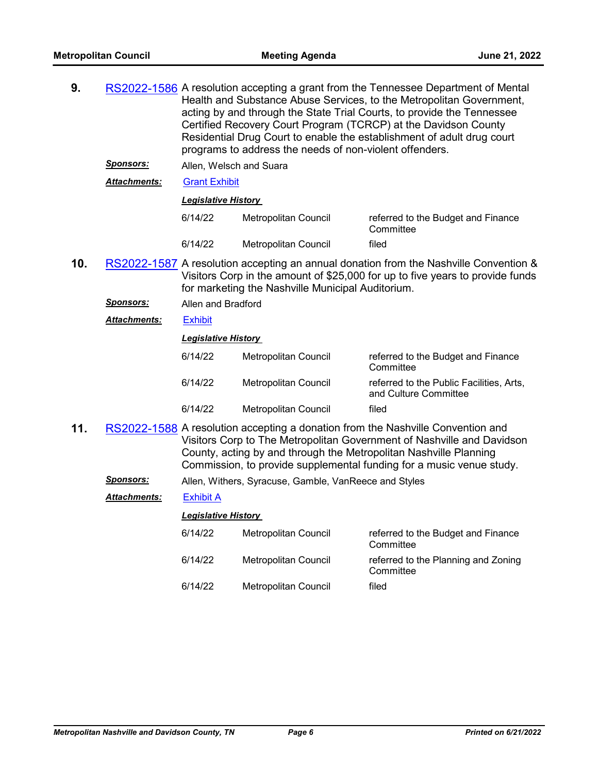| 9.  |                     | RS2022-1586 A resolution accepting a grant from the Tennessee Department of Mental<br>Health and Substance Abuse Services, to the Metropolitan Government,<br>acting by and through the State Trial Courts, to provide the Tennessee<br>Certified Recovery Court Program (TCRCP) at the Davidson County<br>Residential Drug Court to enable the establishment of adult drug court<br>programs to address the needs of non-violent offenders. |                             |                                                                   |  |  |
|-----|---------------------|----------------------------------------------------------------------------------------------------------------------------------------------------------------------------------------------------------------------------------------------------------------------------------------------------------------------------------------------------------------------------------------------------------------------------------------------|-----------------------------|-------------------------------------------------------------------|--|--|
|     | <u>Sponsors:</u>    | Allen, Welsch and Suara                                                                                                                                                                                                                                                                                                                                                                                                                      |                             |                                                                   |  |  |
|     | <b>Attachments:</b> | <b>Grant Exhibit</b>                                                                                                                                                                                                                                                                                                                                                                                                                         |                             |                                                                   |  |  |
|     |                     | <b>Legislative History</b>                                                                                                                                                                                                                                                                                                                                                                                                                   |                             |                                                                   |  |  |
|     |                     | 6/14/22                                                                                                                                                                                                                                                                                                                                                                                                                                      | Metropolitan Council        | referred to the Budget and Finance<br>Committee                   |  |  |
|     |                     | 6/14/22                                                                                                                                                                                                                                                                                                                                                                                                                                      | <b>Metropolitan Council</b> | filed                                                             |  |  |
| 10. |                     | RS2022-1587 A resolution accepting an annual donation from the Nashville Convention &<br>Visitors Corp in the amount of \$25,000 for up to five years to provide funds<br>for marketing the Nashville Municipal Auditorium.                                                                                                                                                                                                                  |                             |                                                                   |  |  |
|     | <u>Sponsors:</u>    | Allen and Bradford                                                                                                                                                                                                                                                                                                                                                                                                                           |                             |                                                                   |  |  |
|     | <b>Attachments:</b> | <b>Exhibit</b>                                                                                                                                                                                                                                                                                                                                                                                                                               |                             |                                                                   |  |  |
|     |                     | <b>Legislative History</b>                                                                                                                                                                                                                                                                                                                                                                                                                   |                             |                                                                   |  |  |
|     |                     | 6/14/22                                                                                                                                                                                                                                                                                                                                                                                                                                      | Metropolitan Council        | referred to the Budget and Finance<br>Committee                   |  |  |
|     |                     | 6/14/22                                                                                                                                                                                                                                                                                                                                                                                                                                      | Metropolitan Council        | referred to the Public Facilities, Arts,<br>and Culture Committee |  |  |
|     |                     | 6/14/22                                                                                                                                                                                                                                                                                                                                                                                                                                      | <b>Metropolitan Council</b> | filed                                                             |  |  |
| 11. |                     | RS2022-1588 A resolution accepting a donation from the Nashville Convention and<br>Visitors Corp to The Metropolitan Government of Nashville and Davidson<br>County, acting by and through the Metropolitan Nashville Planning<br>Commission, to provide supplemental funding for a music venue study.                                                                                                                                       |                             |                                                                   |  |  |

*Sponsors:* Allen, Withers, Syracuse, Gamble, VanReece and Styles

*Attachments:* [Exhibit A](http://nashville.legistar.com/gateway.aspx?M=F&ID=935d8da1-2031-4ad5-b2af-89ae1a50c5fd.PDF)

|         | <b>Legislative History</b>  |                                                  |  |  |  |  |
|---------|-----------------------------|--------------------------------------------------|--|--|--|--|
| 6/14/22 | <b>Metropolitan Council</b> | referred to the Budget and Finance<br>Committee  |  |  |  |  |
| 6/14/22 | <b>Metropolitan Council</b> | referred to the Planning and Zoning<br>Committee |  |  |  |  |
| 6/14/22 | Metropolitan Council        | filed                                            |  |  |  |  |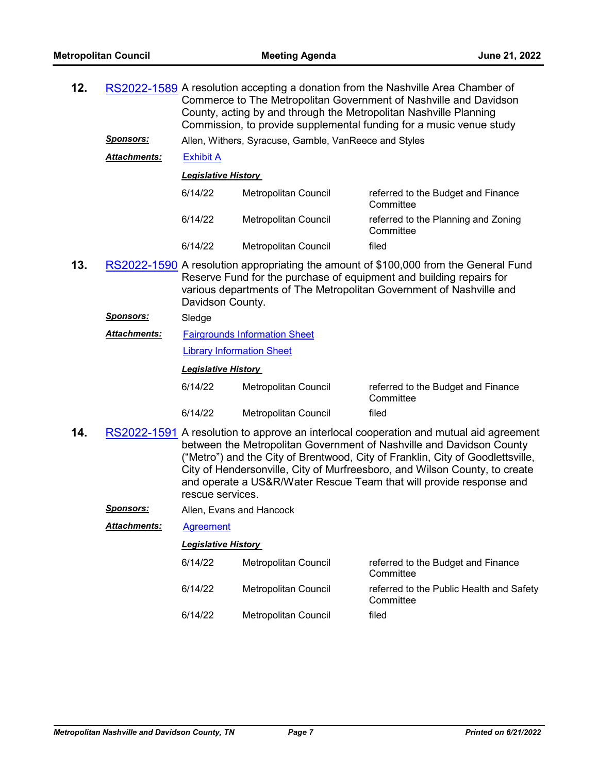| 12. |                     | RS2022-1589 A resolution accepting a donation from the Nashville Area Chamber of<br>Commerce to The Metropolitan Government of Nashville and Davidson<br>County, acting by and through the Metropolitan Nashville Planning<br>Commission, to provide supplemental funding for a music venue study |                                                       |                                                                                                                                                                                                                                                                                                                                                                                                       |  |  |
|-----|---------------------|---------------------------------------------------------------------------------------------------------------------------------------------------------------------------------------------------------------------------------------------------------------------------------------------------|-------------------------------------------------------|-------------------------------------------------------------------------------------------------------------------------------------------------------------------------------------------------------------------------------------------------------------------------------------------------------------------------------------------------------------------------------------------------------|--|--|
|     | <u>Sponsors:</u>    |                                                                                                                                                                                                                                                                                                   | Allen, Withers, Syracuse, Gamble, VanReece and Styles |                                                                                                                                                                                                                                                                                                                                                                                                       |  |  |
|     | <b>Attachments:</b> | <b>Exhibit A</b>                                                                                                                                                                                                                                                                                  |                                                       |                                                                                                                                                                                                                                                                                                                                                                                                       |  |  |
|     |                     |                                                                                                                                                                                                                                                                                                   | <b>Legislative History</b>                            |                                                                                                                                                                                                                                                                                                                                                                                                       |  |  |
|     |                     | 6/14/22<br>Metropolitan Council<br>referred to the Budget and Finance<br>Committee                                                                                                                                                                                                                |                                                       |                                                                                                                                                                                                                                                                                                                                                                                                       |  |  |
|     |                     | 6/14/22                                                                                                                                                                                                                                                                                           | Metropolitan Council                                  | referred to the Planning and Zoning<br>Committee                                                                                                                                                                                                                                                                                                                                                      |  |  |
|     |                     | 6/14/22                                                                                                                                                                                                                                                                                           | Metropolitan Council                                  | filed                                                                                                                                                                                                                                                                                                                                                                                                 |  |  |
| 13. |                     | RS2022-1590 A resolution appropriating the amount of \$100,000 from the General Fund<br>Reserve Fund for the purchase of equipment and building repairs for<br>various departments of The Metropolitan Government of Nashville and<br>Davidson County.                                            |                                                       |                                                                                                                                                                                                                                                                                                                                                                                                       |  |  |
|     | <u>Sponsors:</u>    | Sledge                                                                                                                                                                                                                                                                                            |                                                       |                                                                                                                                                                                                                                                                                                                                                                                                       |  |  |
|     | <b>Attachments:</b> | <b>Fairgrounds Information Sheet</b>                                                                                                                                                                                                                                                              |                                                       |                                                                                                                                                                                                                                                                                                                                                                                                       |  |  |
|     |                     | <b>Library Information Sheet</b>                                                                                                                                                                                                                                                                  |                                                       |                                                                                                                                                                                                                                                                                                                                                                                                       |  |  |
|     |                     | <b>Legislative History</b>                                                                                                                                                                                                                                                                        |                                                       |                                                                                                                                                                                                                                                                                                                                                                                                       |  |  |
|     |                     | 6/14/22                                                                                                                                                                                                                                                                                           | Metropolitan Council                                  | referred to the Budget and Finance<br>Committee                                                                                                                                                                                                                                                                                                                                                       |  |  |
|     |                     | 6/14/22                                                                                                                                                                                                                                                                                           | <b>Metropolitan Council</b>                           | filed                                                                                                                                                                                                                                                                                                                                                                                                 |  |  |
| 14. |                     |                                                                                                                                                                                                                                                                                                   |                                                       | RS2022-1591 A resolution to approve an interlocal cooperation and mutual aid agreement<br>between the Metropolitan Government of Nashville and Davidson County<br>("Metro") and the City of Brentwood, City of Franklin, City of Goodlettsville,<br>City of Hendersonville, City of Murfreesboro, and Wilson County, to create<br>and operate a US&R/Water Rescue Team that will provide response and |  |  |

*Sponsors:* Allen, Evans and Hancock

*Attachments:* [Agreement](http://nashville.legistar.com/gateway.aspx?M=F&ID=ccd6a101-c9ac-4a69-b0d2-bc6752f9acda.pdf)

*Legislative History* 

rescue services.

| 6/14/22 | Metropolitan Council | referred to the Budget and Finance<br>Committee       |
|---------|----------------------|-------------------------------------------------------|
| 6/14/22 | Metropolitan Council | referred to the Public Health and Safety<br>Committee |
| 6/14/22 | Metropolitan Council | filed                                                 |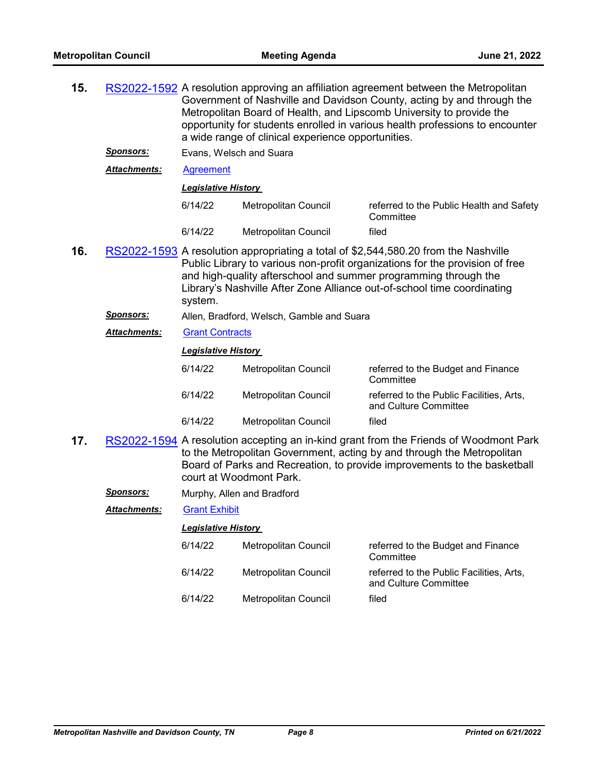| 15. |                      | RS2022-1592 A resolution approving an affiliation agreement between the Metropolitan<br>Government of Nashville and Davidson County, acting by and through the<br>Metropolitan Board of Health, and Lipscomb University to provide the<br>opportunity for students enrolled in various health professions to encounter<br>a wide range of clinical experience opportunities. |                                           |                                                                                                                                                                                                                                             |  |
|-----|----------------------|------------------------------------------------------------------------------------------------------------------------------------------------------------------------------------------------------------------------------------------------------------------------------------------------------------------------------------------------------------------------------|-------------------------------------------|---------------------------------------------------------------------------------------------------------------------------------------------------------------------------------------------------------------------------------------------|--|
|     | <u>Sponsors:</u>     | Evans, Welsch and Suara                                                                                                                                                                                                                                                                                                                                                      |                                           |                                                                                                                                                                                                                                             |  |
|     | <b>Attachments:</b>  | <b>Agreement</b>                                                                                                                                                                                                                                                                                                                                                             |                                           |                                                                                                                                                                                                                                             |  |
|     |                      | <b>Legislative History</b>                                                                                                                                                                                                                                                                                                                                                   |                                           |                                                                                                                                                                                                                                             |  |
|     |                      | 6/14/22                                                                                                                                                                                                                                                                                                                                                                      | Metropolitan Council                      | referred to the Public Health and Safety<br>Committee                                                                                                                                                                                       |  |
|     |                      | 6/14/22                                                                                                                                                                                                                                                                                                                                                                      | Metropolitan Council                      | filed                                                                                                                                                                                                                                       |  |
| 16. |                      | RS2022-1593 A resolution appropriating a total of \$2,544,580.20 from the Nashville<br>Public Library to various non-profit organizations for the provision of free<br>and high-quality afterschool and summer programming through the<br>Library's Nashville After Zone Alliance out-of-school time coordinating<br>system.                                                 |                                           |                                                                                                                                                                                                                                             |  |
|     | <b>Sponsors:</b>     |                                                                                                                                                                                                                                                                                                                                                                              | Allen, Bradford, Welsch, Gamble and Suara |                                                                                                                                                                                                                                             |  |
|     | <b>Attachments:</b>  | <b>Grant Contracts</b>                                                                                                                                                                                                                                                                                                                                                       |                                           |                                                                                                                                                                                                                                             |  |
|     |                      | <b>Legislative History</b>                                                                                                                                                                                                                                                                                                                                                   |                                           |                                                                                                                                                                                                                                             |  |
|     |                      | 6/14/22                                                                                                                                                                                                                                                                                                                                                                      | Metropolitan Council                      | referred to the Budget and Finance<br>Committee                                                                                                                                                                                             |  |
|     |                      | 6/14/22                                                                                                                                                                                                                                                                                                                                                                      | Metropolitan Council                      | referred to the Public Facilities, Arts,<br>and Culture Committee                                                                                                                                                                           |  |
|     |                      | 6/14/22                                                                                                                                                                                                                                                                                                                                                                      | Metropolitan Council                      | filed                                                                                                                                                                                                                                       |  |
| 17. |                      |                                                                                                                                                                                                                                                                                                                                                                              | court at Woodmont Park.                   | RS2022-1594 A resolution accepting an in-kind grant from the Friends of Woodmont Park<br>to the Metropolitan Government, acting by and through the Metropolitan<br>Board of Parks and Recreation, to provide improvements to the basketball |  |
|     | <b>Sponsors:</b>     |                                                                                                                                                                                                                                                                                                                                                                              | Murphy, Allen and Bradford                |                                                                                                                                                                                                                                             |  |
|     | <u> Attachments:</u> | <b>Grant Exhibit</b>                                                                                                                                                                                                                                                                                                                                                         |                                           |                                                                                                                                                                                                                                             |  |
|     |                      | <b>Legislative History</b>                                                                                                                                                                                                                                                                                                                                                   |                                           |                                                                                                                                                                                                                                             |  |
|     |                      | 6/14/22                                                                                                                                                                                                                                                                                                                                                                      | Metropolitan Council                      | referred to the Budget and Finance<br>Committee                                                                                                                                                                                             |  |
|     |                      | 6/14/22                                                                                                                                                                                                                                                                                                                                                                      | <b>Metropolitan Council</b>               | referred to the Public Facilities, Arts,<br>and Culture Committee                                                                                                                                                                           |  |

6/14/22 Metropolitan Council filed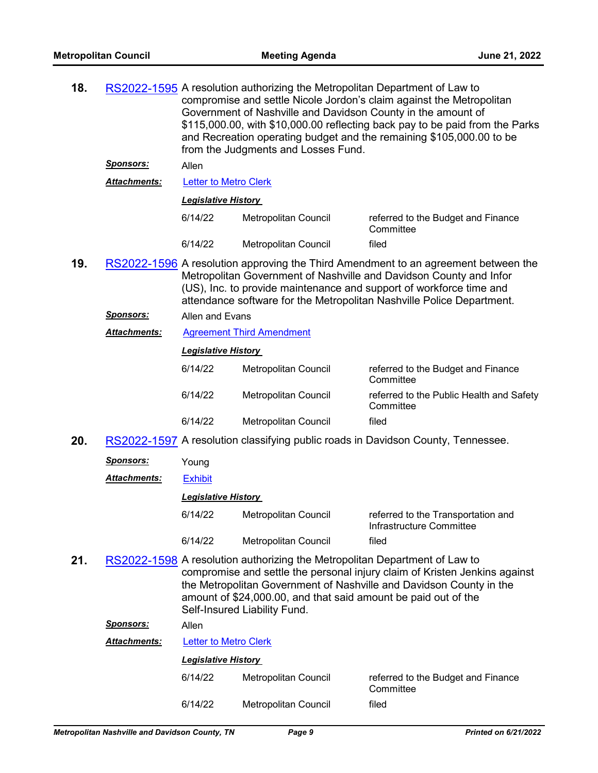| 18. |                     | RS2022-1595 A resolution authorizing the Metropolitan Department of Law to<br>compromise and settle Nicole Jordon's claim against the Metropolitan<br>Government of Nashville and Davidson County in the amount of<br>\$115,000.00, with \$10,000.00 reflecting back pay to be paid from the Parks<br>and Recreation operating budget and the remaining \$105,000.00 to be<br>from the Judgments and Losses Fund. |                                                                                                                                                                              |                                                                                                                                                                                                                                                                                                          |  |  |
|-----|---------------------|-------------------------------------------------------------------------------------------------------------------------------------------------------------------------------------------------------------------------------------------------------------------------------------------------------------------------------------------------------------------------------------------------------------------|------------------------------------------------------------------------------------------------------------------------------------------------------------------------------|----------------------------------------------------------------------------------------------------------------------------------------------------------------------------------------------------------------------------------------------------------------------------------------------------------|--|--|
|     | <u>Sponsors:</u>    | Allen                                                                                                                                                                                                                                                                                                                                                                                                             |                                                                                                                                                                              |                                                                                                                                                                                                                                                                                                          |  |  |
|     | <b>Attachments:</b> | <b>Letter to Metro Clerk</b>                                                                                                                                                                                                                                                                                                                                                                                      |                                                                                                                                                                              |                                                                                                                                                                                                                                                                                                          |  |  |
|     |                     | <b>Legislative History</b>                                                                                                                                                                                                                                                                                                                                                                                        |                                                                                                                                                                              |                                                                                                                                                                                                                                                                                                          |  |  |
|     |                     | 6/14/22                                                                                                                                                                                                                                                                                                                                                                                                           | Metropolitan Council                                                                                                                                                         | referred to the Budget and Finance<br>Committee                                                                                                                                                                                                                                                          |  |  |
|     |                     | 6/14/22                                                                                                                                                                                                                                                                                                                                                                                                           | Metropolitan Council                                                                                                                                                         | filed                                                                                                                                                                                                                                                                                                    |  |  |
| 19. |                     |                                                                                                                                                                                                                                                                                                                                                                                                                   |                                                                                                                                                                              | RS2022-1596 A resolution approving the Third Amendment to an agreement between the<br>Metropolitan Government of Nashville and Davidson County and Infor<br>(US), Inc. to provide maintenance and support of workforce time and<br>attendance software for the Metropolitan Nashville Police Department. |  |  |
|     | <u>Sponsors:</u>    | Allen and Evans                                                                                                                                                                                                                                                                                                                                                                                                   |                                                                                                                                                                              |                                                                                                                                                                                                                                                                                                          |  |  |
|     | <b>Attachments:</b> |                                                                                                                                                                                                                                                                                                                                                                                                                   | <b>Agreement Third Amendment</b>                                                                                                                                             |                                                                                                                                                                                                                                                                                                          |  |  |
|     |                     | <b>Legislative History</b>                                                                                                                                                                                                                                                                                                                                                                                        |                                                                                                                                                                              |                                                                                                                                                                                                                                                                                                          |  |  |
|     |                     | 6/14/22                                                                                                                                                                                                                                                                                                                                                                                                           | Metropolitan Council                                                                                                                                                         | referred to the Budget and Finance<br>Committee                                                                                                                                                                                                                                                          |  |  |
|     |                     | 6/14/22                                                                                                                                                                                                                                                                                                                                                                                                           | Metropolitan Council                                                                                                                                                         | referred to the Public Health and Safety<br>Committee                                                                                                                                                                                                                                                    |  |  |
|     |                     | 6/14/22                                                                                                                                                                                                                                                                                                                                                                                                           | Metropolitan Council                                                                                                                                                         | filed                                                                                                                                                                                                                                                                                                    |  |  |
| 20. |                     |                                                                                                                                                                                                                                                                                                                                                                                                                   |                                                                                                                                                                              | RS2022-1597 A resolution classifying public roads in Davidson County, Tennessee.                                                                                                                                                                                                                         |  |  |
|     | <u>Sponsors:</u>    | Young                                                                                                                                                                                                                                                                                                                                                                                                             |                                                                                                                                                                              |                                                                                                                                                                                                                                                                                                          |  |  |
|     | <b>Attachments:</b> | <b>Exhibit</b>                                                                                                                                                                                                                                                                                                                                                                                                    |                                                                                                                                                                              |                                                                                                                                                                                                                                                                                                          |  |  |
|     |                     | <b>Legislative History</b>                                                                                                                                                                                                                                                                                                                                                                                        |                                                                                                                                                                              |                                                                                                                                                                                                                                                                                                          |  |  |
|     |                     | 6/14/22                                                                                                                                                                                                                                                                                                                                                                                                           | Metropolitan Council                                                                                                                                                         | referred to the Transportation and<br>Infrastructure Committee                                                                                                                                                                                                                                           |  |  |
|     |                     | 6/14/22                                                                                                                                                                                                                                                                                                                                                                                                           | <b>Metropolitan Council</b>                                                                                                                                                  | filed                                                                                                                                                                                                                                                                                                    |  |  |
| 21. |                     |                                                                                                                                                                                                                                                                                                                                                                                                                   | RS2022-1598 A resolution authorizing the Metropolitan Department of Law to<br>amount of \$24,000.00, and that said amount be paid out of the<br>Self-Insured Liability Fund. | compromise and settle the personal injury claim of Kristen Jenkins against<br>the Metropolitan Government of Nashville and Davidson County in the                                                                                                                                                        |  |  |
|     | <u>Sponsors:</u>    | Allen                                                                                                                                                                                                                                                                                                                                                                                                             |                                                                                                                                                                              |                                                                                                                                                                                                                                                                                                          |  |  |
|     | Attachments:        | <b>Letter to Metro Clerk</b>                                                                                                                                                                                                                                                                                                                                                                                      |                                                                                                                                                                              |                                                                                                                                                                                                                                                                                                          |  |  |
|     |                     | <b>Legislative History</b>                                                                                                                                                                                                                                                                                                                                                                                        |                                                                                                                                                                              |                                                                                                                                                                                                                                                                                                          |  |  |
|     |                     | 6/14/22                                                                                                                                                                                                                                                                                                                                                                                                           | Metropolitan Council                                                                                                                                                         | referred to the Budget and Finance<br>Committee                                                                                                                                                                                                                                                          |  |  |
|     |                     | 6/14/22                                                                                                                                                                                                                                                                                                                                                                                                           | Metropolitan Council                                                                                                                                                         | filed                                                                                                                                                                                                                                                                                                    |  |  |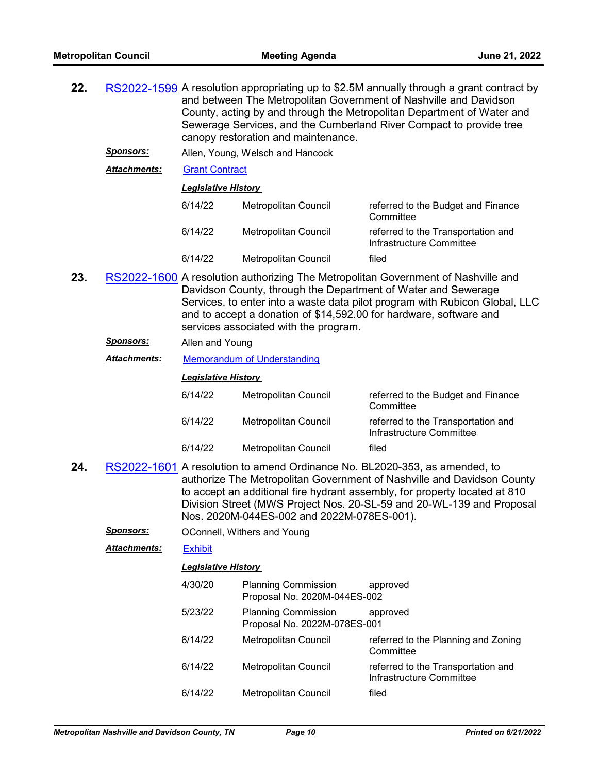| 22. |                     | RS2022-1599 A resolution appropriating up to \$2.5M annually through a grant contract by<br>and between The Metropolitan Government of Nashville and Davidson<br>County, acting by and through the Metropolitan Department of Water and<br>Sewerage Services, and the Cumberland River Compact to provide tree<br>canopy restoration and maintenance. |                                                            |                                                                                                                                                                                                                                                                                                             |  |  |  |
|-----|---------------------|-------------------------------------------------------------------------------------------------------------------------------------------------------------------------------------------------------------------------------------------------------------------------------------------------------------------------------------------------------|------------------------------------------------------------|-------------------------------------------------------------------------------------------------------------------------------------------------------------------------------------------------------------------------------------------------------------------------------------------------------------|--|--|--|
|     | <u>Sponsors:</u>    | Allen, Young, Welsch and Hancock                                                                                                                                                                                                                                                                                                                      |                                                            |                                                                                                                                                                                                                                                                                                             |  |  |  |
|     | Attachments:        | <b>Grant Contract</b>                                                                                                                                                                                                                                                                                                                                 |                                                            |                                                                                                                                                                                                                                                                                                             |  |  |  |
|     |                     | <b>Legislative History</b>                                                                                                                                                                                                                                                                                                                            |                                                            |                                                                                                                                                                                                                                                                                                             |  |  |  |
|     |                     | 6/14/22                                                                                                                                                                                                                                                                                                                                               | Metropolitan Council                                       | referred to the Budget and Finance<br>Committee                                                                                                                                                                                                                                                             |  |  |  |
|     |                     | 6/14/22                                                                                                                                                                                                                                                                                                                                               | Metropolitan Council                                       | referred to the Transportation and<br>Infrastructure Committee                                                                                                                                                                                                                                              |  |  |  |
|     |                     | 6/14/22                                                                                                                                                                                                                                                                                                                                               | <b>Metropolitan Council</b>                                | filed                                                                                                                                                                                                                                                                                                       |  |  |  |
| 23. |                     | RS2022-1600 A resolution authorizing The Metropolitan Government of Nashville and<br>Davidson County, through the Department of Water and Sewerage<br>Services, to enter into a waste data pilot program with Rubicon Global, LLC<br>and to accept a donation of \$14,592.00 for hardware, software and<br>services associated with the program.      |                                                            |                                                                                                                                                                                                                                                                                                             |  |  |  |
|     | <u>Sponsors:</u>    | Allen and Young                                                                                                                                                                                                                                                                                                                                       |                                                            |                                                                                                                                                                                                                                                                                                             |  |  |  |
|     | Attachments:        | Memorandum of Understanding                                                                                                                                                                                                                                                                                                                           |                                                            |                                                                                                                                                                                                                                                                                                             |  |  |  |
|     |                     | <b>Legislative History</b>                                                                                                                                                                                                                                                                                                                            |                                                            |                                                                                                                                                                                                                                                                                                             |  |  |  |
|     |                     | 6/14/22                                                                                                                                                                                                                                                                                                                                               | Metropolitan Council                                       | referred to the Budget and Finance<br>Committee                                                                                                                                                                                                                                                             |  |  |  |
|     |                     | 6/14/22                                                                                                                                                                                                                                                                                                                                               | Metropolitan Council                                       | referred to the Transportation and<br>Infrastructure Committee                                                                                                                                                                                                                                              |  |  |  |
|     |                     | 6/14/22                                                                                                                                                                                                                                                                                                                                               | Metropolitan Council                                       | filed                                                                                                                                                                                                                                                                                                       |  |  |  |
| 24. |                     |                                                                                                                                                                                                                                                                                                                                                       | Nos. 2020M-044ES-002 and 2022M-078ES-001).                 | RS2022-1601 A resolution to amend Ordinance No. BL2020-353, as amended, to<br>authorize The Metropolitan Government of Nashville and Davidson County<br>to accept an additional fire hydrant assembly, for property located at 810<br>Division Street (MWS Project Nos. 20-SL-59 and 20-WL-139 and Proposal |  |  |  |
|     | <b>Sponsors:</b>    |                                                                                                                                                                                                                                                                                                                                                       | OConnell, Withers and Young                                |                                                                                                                                                                                                                                                                                                             |  |  |  |
|     | <b>Attachments:</b> | <b>Exhibit</b>                                                                                                                                                                                                                                                                                                                                        |                                                            |                                                                                                                                                                                                                                                                                                             |  |  |  |
|     |                     | <b>Legislative History</b>                                                                                                                                                                                                                                                                                                                            |                                                            |                                                                                                                                                                                                                                                                                                             |  |  |  |
|     |                     | 4/30/20                                                                                                                                                                                                                                                                                                                                               | <b>Planning Commission</b><br>Proposal No. 2020M-044ES-002 | approved                                                                                                                                                                                                                                                                                                    |  |  |  |
|     |                     | 5/23/22                                                                                                                                                                                                                                                                                                                                               | <b>Planning Commission</b><br>Proposal No. 2022M-078ES-001 | approved                                                                                                                                                                                                                                                                                                    |  |  |  |
|     |                     | 6/14/22                                                                                                                                                                                                                                                                                                                                               | Metropolitan Council                                       | referred to the Planning and Zoning<br>Committee                                                                                                                                                                                                                                                            |  |  |  |
|     |                     | 6/14/22                                                                                                                                                                                                                                                                                                                                               | Metropolitan Council                                       | referred to the Transportation and<br>Infrastructure Committee                                                                                                                                                                                                                                              |  |  |  |
|     |                     | 6/14/22                                                                                                                                                                                                                                                                                                                                               | Metropolitan Council                                       | filed                                                                                                                                                                                                                                                                                                       |  |  |  |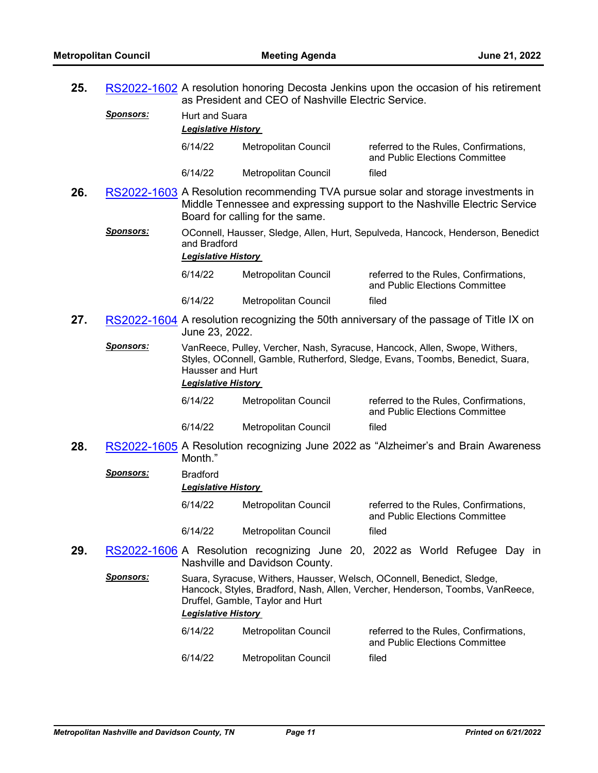**25.** [RS2022-1602](http://nashville.legistar.com/gateway.aspx?m=l&id=/matter.aspx?key=14658) A resolution honoring Decosta Jenkins upon the occasion of his retirement

|     |                  | as President and CEO of Nashville Electric Service. |                                  |                                                                                                                                                                |  |
|-----|------------------|-----------------------------------------------------|----------------------------------|----------------------------------------------------------------------------------------------------------------------------------------------------------------|--|
|     | <u>Sponsors:</u> | Hurt and Suara<br><b>Legislative History</b>        |                                  |                                                                                                                                                                |  |
|     |                  | 6/14/22                                             | Metropolitan Council             | referred to the Rules, Confirmations,<br>and Public Elections Committee                                                                                        |  |
|     |                  | 6/14/22                                             | Metropolitan Council             | filed                                                                                                                                                          |  |
| 26. |                  |                                                     | Board for calling for the same.  | RS2022-1603 A Resolution recommending TVA pursue solar and storage investments in<br>Middle Tennessee and expressing support to the Nashville Electric Service |  |
|     | <b>Sponsors:</b> | and Bradford<br><b>Legislative History</b>          |                                  | OConnell, Hausser, Sledge, Allen, Hurt, Sepulveda, Hancock, Henderson, Benedict                                                                                |  |
|     |                  | 6/14/22                                             | Metropolitan Council             | referred to the Rules, Confirmations,<br>and Public Elections Committee                                                                                        |  |
|     |                  | 6/14/22                                             | Metropolitan Council             | filed                                                                                                                                                          |  |
| 27. |                  | June 23, 2022.                                      |                                  | RS2022-1604 A resolution recognizing the 50th anniversary of the passage of Title IX on                                                                        |  |
|     | <b>Sponsors:</b> | Hausser and Hurt<br><b>Legislative History</b>      |                                  | VanReece, Pulley, Vercher, Nash, Syracuse, Hancock, Allen, Swope, Withers,<br>Styles, OConnell, Gamble, Rutherford, Sledge, Evans, Toombs, Benedict, Suara,    |  |
|     |                  | 6/14/22                                             | <b>Metropolitan Council</b>      | referred to the Rules, Confirmations,<br>and Public Elections Committee                                                                                        |  |
|     |                  | 6/14/22                                             | Metropolitan Council             | filed                                                                                                                                                          |  |
| 28. |                  | Month."                                             |                                  | RS2022-1605 A Resolution recognizing June 2022 as "Alzheimer's and Brain Awareness"                                                                            |  |
|     | <b>Sponsors:</b> | <b>Bradford</b><br><b>Legislative History</b>       |                                  |                                                                                                                                                                |  |
|     |                  | 6/14/22                                             | Metropolitan Council             | referred to the Rules, Confirmations,<br>and Public Elections Committee                                                                                        |  |
|     |                  | 6/14/22                                             | <b>Metropolitan Council</b>      | filed                                                                                                                                                          |  |
| 29. |                  |                                                     | Nashville and Davidson County.   | RS2022-1606 A Resolution recognizing June 20, 2022 as World Refugee Day in                                                                                     |  |
|     | <b>Sponsors:</b> | <b>Legislative History</b>                          | Druffel, Gamble, Taylor and Hurt | Suara, Syracuse, Withers, Hausser, Welsch, OConnell, Benedict, Sledge,<br>Hancock, Styles, Bradford, Nash, Allen, Vercher, Henderson, Toombs, VanReece,        |  |
|     |                  | 6/14/22                                             | Metropolitan Council             | referred to the Rules, Confirmations,<br>and Public Elections Committee                                                                                        |  |
|     |                  | 6/14/22                                             | Metropolitan Council             | filed                                                                                                                                                          |  |
|     |                  |                                                     |                                  |                                                                                                                                                                |  |
|     |                  |                                                     |                                  |                                                                                                                                                                |  |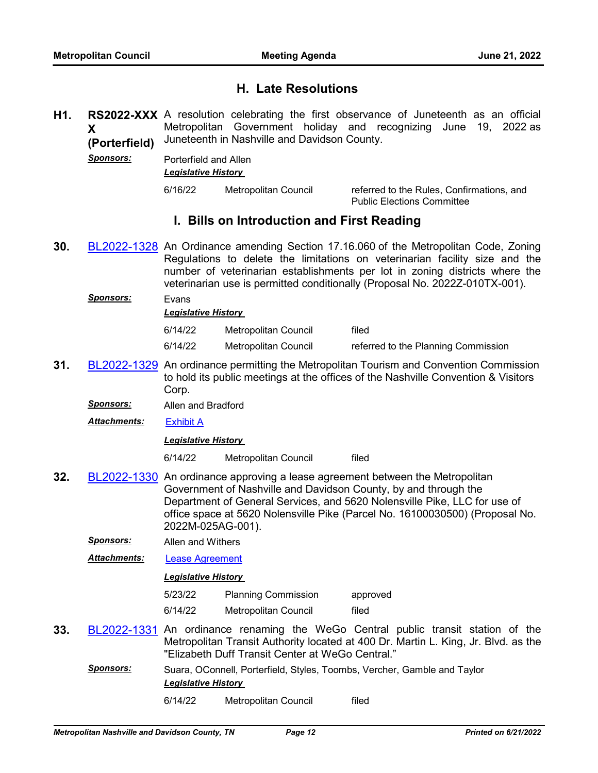## **H. Late Resolutions**

- H1. RS2022-XXX A resolution celebrating the first observance of Juneteenth as an official **X (Porterfield)** Metropolitan Government holiday and recognizing June 19, 2022 as Juneteenth in Nashville and Davidson County.
	- *Sponsors:* Porterfield and Allen *Legislative History*

6/16/22 Metropolitan Council referred to the Rules, Confirmations, and Public Elections Committee

## **I. Bills on Introduction and First Reading**

- **30.** [BL2022-1328](http://nashville.legistar.com/gateway.aspx?m=l&id=/matter.aspx?key=14654) An Ordinance amending Section 17.16.060 of the Metropolitan Code, Zoning Regulations to delete the limitations on veterinarian facility size and the number of veterinarian establishments per lot in zoning districts where the veterinarian use is permitted conditionally (Proposal No. 2022Z-010TX-001).
	- *Sponsors:* Evans *Legislative History*  6/14/22 Metropolitan Council filed 6/14/22 Metropolitan Council referred to the Planning Commission
- **31.** [BL2022-1329](http://nashville.legistar.com/gateway.aspx?m=l&id=/matter.aspx?key=14642) An ordinance permitting the Metropolitan Tourism and Convention Commission to hold its public meetings at the offices of the Nashville Convention & Visitors Corp.
	- *Sponsors:* Allen and Bradford

*Attachments:* [Exhibit A](http://nashville.legistar.com/gateway.aspx?M=F&ID=650add16-2cff-4505-837c-1ea6ace161c7.pdf)

## *Legislative History*

6/14/22 Metropolitan Council filed

- **32.** [BL2022-1330](http://nashville.legistar.com/gateway.aspx?m=l&id=/matter.aspx?key=14639) An ordinance approving a lease agreement between the Metropolitan Government of Nashville and Davidson County, by and through the Department of General Services, and 5620 Nolensville Pike, LLC for use of office space at 5620 Nolensville Pike (Parcel No. 16100030500) (Proposal No. 2022M-025AG-001).
	- *Sponsors:* Allen and Withers
	- *Attachments:* [Lease Agreement](http://nashville.legistar.com/gateway.aspx?M=F&ID=bd2012dc-bed1-4fed-9c96-8073031a7a21.pdf)

*Legislative History* 

5/23/22 Planning Commission approved

- 6/14/22 Metropolitan Council filed
- **33.** [BL2022-1331](http://nashville.legistar.com/gateway.aspx?m=l&id=/matter.aspx?key=14652) An ordinance renaming the WeGo Central public transit station of the Metropolitan Transit Authority located at 400 Dr. Martin L. King, Jr. Blvd. as the "Elizabeth Duff Transit Center at WeGo Central."
	- *Sponsors:* Suara, OConnell, Porterfield, Styles, Toombs, Vercher, Gamble and Taylor *Legislative History* 
		- 6/14/22 Metropolitan Council filed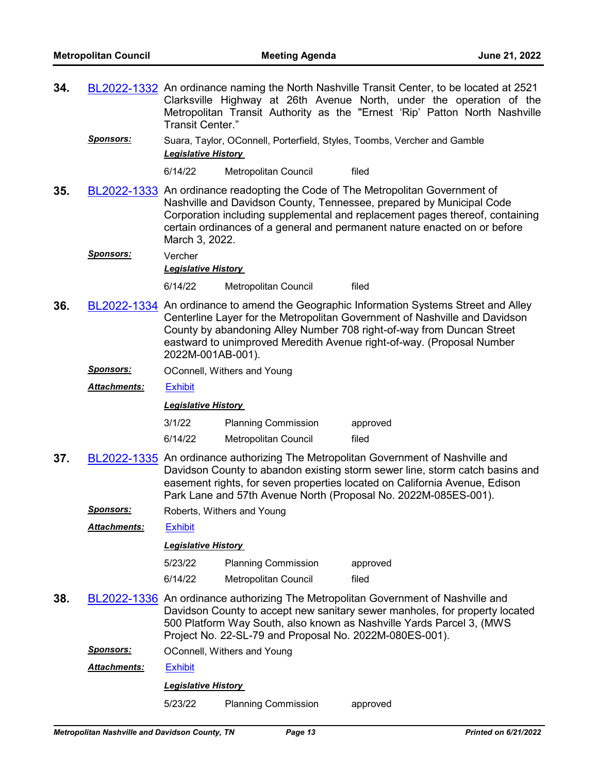- **34.** [BL2022-1332](http://nashville.legistar.com/gateway.aspx?m=l&id=/matter.aspx?key=14653) An ordinance naming the North Nashville Transit Center, to be located at 2521 Clarksville Highway at 26th Avenue North, under the operation of the Metropolitan Transit Authority as the "Ernest 'Rip' Patton North Nashville Transit Center."
	- *Sponsors:* Suara, Taylor, OConnell, Porterfield, Styles, Toombs, Vercher and Gamble *Legislative History*

6/14/22 Metropolitan Council filed

**35.** [BL2022-1333](http://nashville.legistar.com/gateway.aspx?m=l&id=/matter.aspx?key=14648) An ordinance readopting the Code of The Metropolitan Government of Nashville and Davidson County, Tennessee, prepared by Municipal Code Corporation including supplemental and replacement pages thereof, containing certain ordinances of a general and permanent nature enacted on or before March 3, 2022.

*Sponsors:* Vercher

*Legislative History* 

6/14/22 Metropolitan Council filed

- **36.** [BL2022-1334](http://nashville.legistar.com/gateway.aspx?m=l&id=/matter.aspx?key=14646) An ordinance to amend the Geographic Information Systems Street and Alley Centerline Layer for the Metropolitan Government of Nashville and Davidson County by abandoning Alley Number 708 right-of-way from Duncan Street eastward to unimproved Meredith Avenue right-of-way. (Proposal Number 2022M-001AB-001).
	- *Sponsors:* OConnell, Withers and Young

*Attachments:* [Exhibit](http://nashville.legistar.com/gateway.aspx?M=F&ID=51f19389-3f5c-4f5d-b3dc-8096246f8961.pdf)

*Legislative History* 

| 3/1/22  | <b>Planning Commission</b> | approved |
|---------|----------------------------|----------|
| 6/14/22 | Metropolitan Council       | filed    |

- **37.** [BL2022-1335](http://nashville.legistar.com/gateway.aspx?m=l&id=/matter.aspx?key=14632) An ordinance authorizing The Metropolitan Government of Nashville and Davidson County to abandon existing storm sewer line, storm catch basins and easement rights, for seven properties located on California Avenue, Edison Park Lane and 57th Avenue North (Proposal No. 2022M-085ES-001).
	- **Sponsors:** Roberts, Withers and Young

*Attachments:* [Exhibit](http://nashville.legistar.com/gateway.aspx?M=F&ID=e71df993-1daf-49b1-8144-912e7d80334c.pdf)

### *Legislative History*

| 5/23/22 | <b>Planning Commission</b> | approved |
|---------|----------------------------|----------|
| 6/14/22 | Metropolitan Council       | filed    |

**38.** [BL2022-1336](http://nashville.legistar.com/gateway.aspx?m=l&id=/matter.aspx?key=14627) An ordinance authorizing The Metropolitan Government of Nashville and Davidson County to accept new sanitary sewer manholes, for property located 500 Platform Way South, also known as Nashville Yards Parcel 3, (MWS Project No. 22-SL-79 and Proposal No. 2022M-080ES-001).

**Sponsors: OConnell, Withers and Young** 

*Attachments:* [Exhibit](http://nashville.legistar.com/gateway.aspx?M=F&ID=8ae2fe0f-1b5b-4f27-859c-aff2d2b977e1.pdf)

## *Legislative History*

5/23/22 Planning Commission approved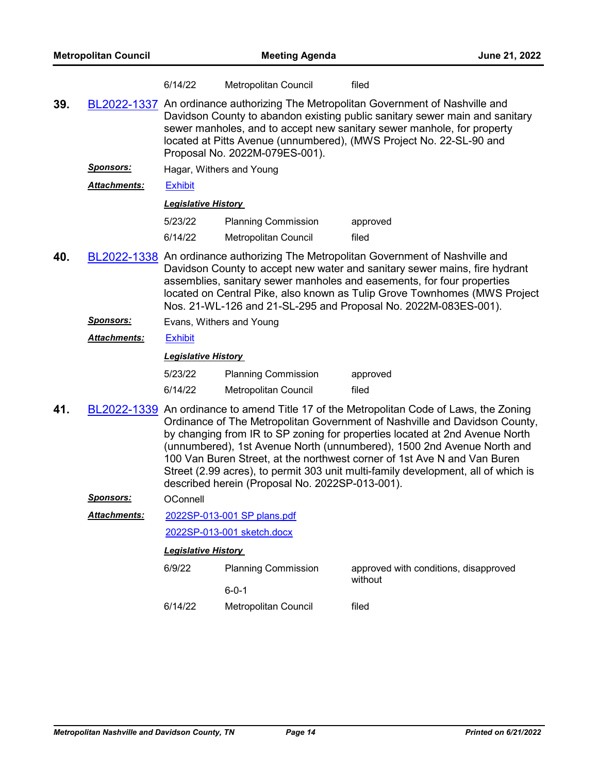|     |                     | 6/14/22                    | Metropolitan Council                            | filed                                                                                                                                                                                                                                                                                                                                                                                                                                                                               |
|-----|---------------------|----------------------------|-------------------------------------------------|-------------------------------------------------------------------------------------------------------------------------------------------------------------------------------------------------------------------------------------------------------------------------------------------------------------------------------------------------------------------------------------------------------------------------------------------------------------------------------------|
| 39. |                     |                            | Proposal No. 2022M-079ES-001).                  | <b>BL2022-1337</b> An ordinance authorizing The Metropolitan Government of Nashville and<br>Davidson County to abandon existing public sanitary sewer main and sanitary<br>sewer manholes, and to accept new sanitary sewer manhole, for property<br>located at Pitts Avenue (unnumbered), (MWS Project No. 22-SL-90 and                                                                                                                                                            |
|     | <u>Sponsors:</u>    | Hagar, Withers and Young   |                                                 |                                                                                                                                                                                                                                                                                                                                                                                                                                                                                     |
|     | <b>Attachments:</b> | <b>Exhibit</b>             |                                                 |                                                                                                                                                                                                                                                                                                                                                                                                                                                                                     |
|     |                     | <b>Legislative History</b> |                                                 |                                                                                                                                                                                                                                                                                                                                                                                                                                                                                     |
|     |                     | 5/23/22                    | <b>Planning Commission</b>                      | approved                                                                                                                                                                                                                                                                                                                                                                                                                                                                            |
|     |                     | 6/14/22                    | <b>Metropolitan Council</b>                     | filed                                                                                                                                                                                                                                                                                                                                                                                                                                                                               |
| 40. |                     |                            |                                                 | BL2022-1338 An ordinance authorizing The Metropolitan Government of Nashville and<br>Davidson County to accept new water and sanitary sewer mains, fire hydrant<br>assemblies, sanitary sewer manholes and easements, for four properties<br>located on Central Pike, also known as Tulip Grove Townhomes (MWS Project<br>Nos. 21-WL-126 and 21-SL-295 and Proposal No. 2022M-083ES-001).                                                                                           |
|     | <u>Sponsors:</u>    | Evans, Withers and Young   |                                                 |                                                                                                                                                                                                                                                                                                                                                                                                                                                                                     |
|     | Attachments:        | <b>Exhibit</b>             |                                                 |                                                                                                                                                                                                                                                                                                                                                                                                                                                                                     |
|     |                     | <b>Legislative History</b> |                                                 |                                                                                                                                                                                                                                                                                                                                                                                                                                                                                     |
|     |                     | 5/23/22                    | <b>Planning Commission</b>                      | approved                                                                                                                                                                                                                                                                                                                                                                                                                                                                            |
|     |                     | 6/14/22                    | <b>Metropolitan Council</b>                     | filed                                                                                                                                                                                                                                                                                                                                                                                                                                                                               |
| 41. | BL2022-1339         |                            | described herein (Proposal No. 2022SP-013-001). | An ordinance to amend Title 17 of the Metropolitan Code of Laws, the Zoning<br>Ordinance of The Metropolitan Government of Nashville and Davidson County,<br>by changing from IR to SP zoning for properties located at 2nd Avenue North<br>(unnumbered), 1st Avenue North (unnumbered), 1500 2nd Avenue North and<br>100 Van Buren Street, at the northwest corner of 1st Ave N and Van Buren<br>Street (2.99 acres), to permit 303 unit multi-family development, all of which is |
|     | <b>Sponsors:</b>    | OConnell                   |                                                 |                                                                                                                                                                                                                                                                                                                                                                                                                                                                                     |
|     | <b>Attachments:</b> |                            | 2022SP-013-001 SP plans.pdf                     |                                                                                                                                                                                                                                                                                                                                                                                                                                                                                     |
|     |                     |                            | 2022SP-013-001 sketch.docx                      |                                                                                                                                                                                                                                                                                                                                                                                                                                                                                     |
|     |                     | <b>Legislative History</b> |                                                 |                                                                                                                                                                                                                                                                                                                                                                                                                                                                                     |
|     |                     | 6/9/22                     | <b>Planning Commission</b>                      | approved with conditions, disapproved<br>without                                                                                                                                                                                                                                                                                                                                                                                                                                    |
|     |                     |                            | $6 - 0 - 1$                                     |                                                                                                                                                                                                                                                                                                                                                                                                                                                                                     |

6/14/22 Metropolitan Council filed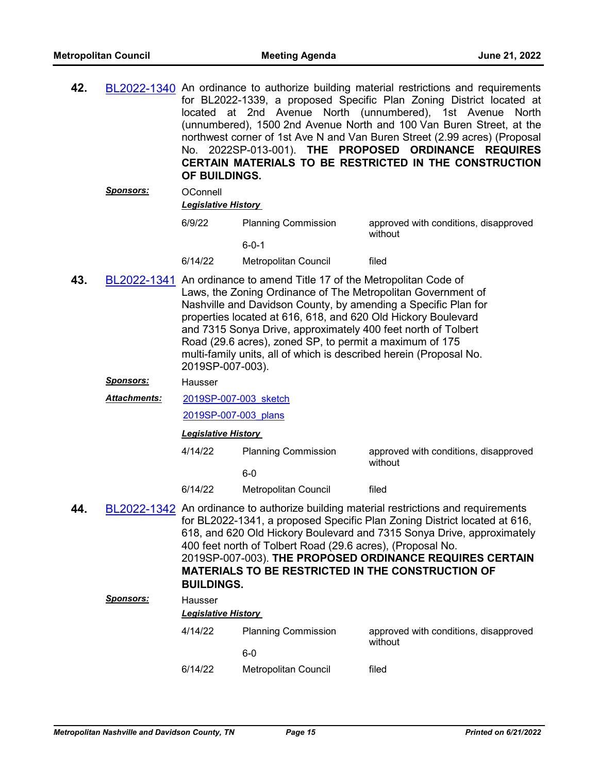| 42. |                  | located<br>OF BUILDINGS.   |                                                                                                                                                                                                                                                                                                                                                                                                                                                                             | BL2022-1340 An ordinance to authorize building material restrictions and requirements<br>for BL2022-1339, a proposed Specific Plan Zoning District located at<br>at 2nd Avenue North (unnumbered), 1st Avenue North<br>(unnumbered), 1500 2nd Avenue North and 100 Van Buren Street, at the<br>northwest corner of 1st Ave N and Van Buren Street (2.99 acres) (Proposal<br>No. 2022SP-013-001). THE PROPOSED ORDINANCE REQUIRES<br>CERTAIN MATERIALS TO BE RESTRICTED IN THE CONSTRUCTION |
|-----|------------------|----------------------------|-----------------------------------------------------------------------------------------------------------------------------------------------------------------------------------------------------------------------------------------------------------------------------------------------------------------------------------------------------------------------------------------------------------------------------------------------------------------------------|--------------------------------------------------------------------------------------------------------------------------------------------------------------------------------------------------------------------------------------------------------------------------------------------------------------------------------------------------------------------------------------------------------------------------------------------------------------------------------------------|
|     | Sponsors:        | OConnell                   |                                                                                                                                                                                                                                                                                                                                                                                                                                                                             |                                                                                                                                                                                                                                                                                                                                                                                                                                                                                            |
|     |                  | Legislative History        |                                                                                                                                                                                                                                                                                                                                                                                                                                                                             |                                                                                                                                                                                                                                                                                                                                                                                                                                                                                            |
|     |                  | 6/9/22                     | <b>Planning Commission</b>                                                                                                                                                                                                                                                                                                                                                                                                                                                  | approved with conditions, disapproved<br>without                                                                                                                                                                                                                                                                                                                                                                                                                                           |
|     |                  |                            | $6 - 0 - 1$                                                                                                                                                                                                                                                                                                                                                                                                                                                                 |                                                                                                                                                                                                                                                                                                                                                                                                                                                                                            |
|     |                  | 6/14/22                    | Metropolitan Council                                                                                                                                                                                                                                                                                                                                                                                                                                                        | filed                                                                                                                                                                                                                                                                                                                                                                                                                                                                                      |
| 43. |                  | 2019SP-007-003).           | BL2022-1341 An ordinance to amend Title 17 of the Metropolitan Code of<br>Laws, the Zoning Ordinance of The Metropolitan Government of<br>Nashville and Davidson County, by amending a Specific Plan for<br>properties located at 616, 618, and 620 Old Hickory Boulevard<br>and 7315 Sonya Drive, approximately 400 feet north of Tolbert<br>Road (29.6 acres), zoned SP, to permit a maximum of 175<br>multi-family units, all of which is described herein (Proposal No. |                                                                                                                                                                                                                                                                                                                                                                                                                                                                                            |
|     | Sponsors:        | Hausser                    |                                                                                                                                                                                                                                                                                                                                                                                                                                                                             |                                                                                                                                                                                                                                                                                                                                                                                                                                                                                            |
|     | Attachments:     | 2019SP-007-003 sketch      |                                                                                                                                                                                                                                                                                                                                                                                                                                                                             |                                                                                                                                                                                                                                                                                                                                                                                                                                                                                            |
|     |                  | 2019SP-007-003 plans       |                                                                                                                                                                                                                                                                                                                                                                                                                                                                             |                                                                                                                                                                                                                                                                                                                                                                                                                                                                                            |
|     |                  | <b>Legislative History</b> |                                                                                                                                                                                                                                                                                                                                                                                                                                                                             |                                                                                                                                                                                                                                                                                                                                                                                                                                                                                            |
|     |                  | 4/14/22                    | <b>Planning Commission</b>                                                                                                                                                                                                                                                                                                                                                                                                                                                  | approved with conditions, disapproved<br>without                                                                                                                                                                                                                                                                                                                                                                                                                                           |
|     |                  |                            | $6-0$                                                                                                                                                                                                                                                                                                                                                                                                                                                                       |                                                                                                                                                                                                                                                                                                                                                                                                                                                                                            |
|     |                  | 6/14/22                    | Metropolitan Council                                                                                                                                                                                                                                                                                                                                                                                                                                                        | filed                                                                                                                                                                                                                                                                                                                                                                                                                                                                                      |
| 44. |                  | <b>BUILDINGS.</b>          | 400 feet north of Tolbert Road (29.6 acres), (Proposal No.                                                                                                                                                                                                                                                                                                                                                                                                                  | BL2022-1342 An ordinance to authorize building material restrictions and requirements<br>for BL2022-1341, a proposed Specific Plan Zoning District located at 616,<br>618, and 620 Old Hickory Boulevard and 7315 Sonya Drive, approximately<br>2019SP-007-003). THE PROPOSED ORDINANCE REQUIRES CERTAIN<br><b>MATERIALS TO BE RESTRICTED IN THE CONSTRUCTION OF</b>                                                                                                                       |
|     | <b>Sponsors:</b> | Hausser                    |                                                                                                                                                                                                                                                                                                                                                                                                                                                                             |                                                                                                                                                                                                                                                                                                                                                                                                                                                                                            |
|     |                  | <b>Legislative History</b> |                                                                                                                                                                                                                                                                                                                                                                                                                                                                             |                                                                                                                                                                                                                                                                                                                                                                                                                                                                                            |
|     |                  | 4/14/22                    | <b>Planning Commission</b><br>$6-0$                                                                                                                                                                                                                                                                                                                                                                                                                                         | approved with conditions, disapproved<br>without                                                                                                                                                                                                                                                                                                                                                                                                                                           |
|     |                  | 6/14/22                    | Metropolitan Council                                                                                                                                                                                                                                                                                                                                                                                                                                                        | filed                                                                                                                                                                                                                                                                                                                                                                                                                                                                                      |
|     |                  |                            |                                                                                                                                                                                                                                                                                                                                                                                                                                                                             |                                                                                                                                                                                                                                                                                                                                                                                                                                                                                            |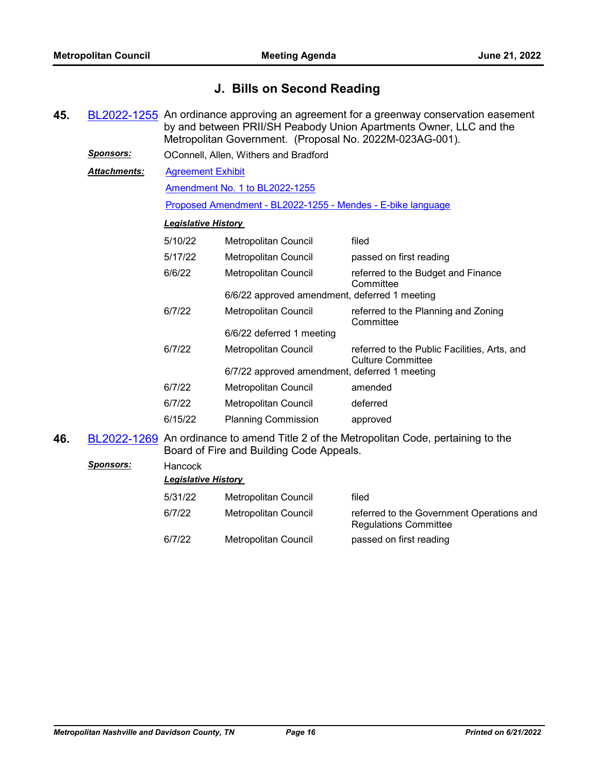## **J. Bills on Second Reading**

- **45.** [BL2022-1255](http://nashville.legistar.com/gateway.aspx?m=l&id=/matter.aspx?key=14461) An ordinance approving an agreement for a greenway conservation easement by and between PRII/SH Peabody Union Apartments Owner, LLC and the Metropolitan Government. (Proposal No. 2022M-023AG-001). *Sponsors:* OConnell, Allen, Withers and Bradford [Agreement Exhibit](http://nashville.legistar.com/gateway.aspx?M=F&ID=4f71639c-264e-49dd-b8e2-f575ce5761c1.pdf) [Amendment No. 1 to BL2022-1255](http://nashville.legistar.com/gateway.aspx?M=F&ID=5175c106-be79-429b-a244-27159635a2a6.docx) [Proposed Amendment - BL2022-1255 - Mendes - E-bike language](http://nashville.legistar.com/gateway.aspx?M=F&ID=2f583212-d95f-43f2-8194-0fa4c4291536.docx) *Attachments: Legislative History*  5/10/22 Metropolitan Council filed 5/17/22 Metropolitan Council passed on first reading 6/6/22 Metropolitan Council referred to the Budget and Finance **Committee** 6/6/22 approved amendment, deferred 1 meeting 6/7/22 Metropolitan Council referred to the Planning and Zoning **Committee** 6/6/22 deferred 1 meeting 6/7/22 Metropolitan Council referred to the Public Facilities, Arts, and Culture Committee 6/7/22 approved amendment, deferred 1 meeting 6/7/22 Metropolitan Council amended 6/7/22 Metropolitan Council deferred 6/15/22 Planning Commission approved **46.** [BL2022-1269](http://nashville.legistar.com/gateway.aspx?m=l&id=/matter.aspx?key=14616) An ordinance to amend Title 2 of the Metropolitan Code, pertaining to the Board of Fire and Building Code Appeals. *Sponsors:* Hancock *Legislative History*  5/31/22 Metropolitan Council filed
	- 6/7/22 Metropolitan Council referred to the Government Operations and Regulations Committee 6/7/22 Metropolitan Council passed on first reading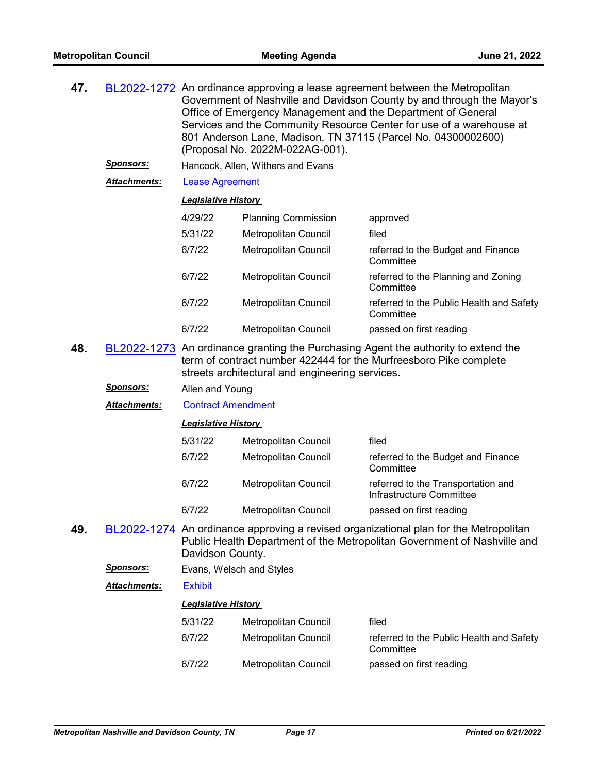| 47.<br>BL2022-1272 An ordinance approving a lease agreement between the Metropolitan<br>Office of Emergency Management and the Department of General<br>801 Anderson Lane, Madison, TN 37115 (Parcel No. 04300002600)<br>(Proposal No. 2022M-022AG-001). |                     |                            |                                                 | Government of Nashville and Davidson County by and through the Mayor's<br>Services and the Community Resource Center for use of a warehouse at                    |
|----------------------------------------------------------------------------------------------------------------------------------------------------------------------------------------------------------------------------------------------------------|---------------------|----------------------------|-------------------------------------------------|-------------------------------------------------------------------------------------------------------------------------------------------------------------------|
|                                                                                                                                                                                                                                                          | <u>Sponsors:</u>    |                            | Hancock, Allen, Withers and Evans               |                                                                                                                                                                   |
|                                                                                                                                                                                                                                                          | Attachments:        | <b>Lease Agreement</b>     |                                                 |                                                                                                                                                                   |
|                                                                                                                                                                                                                                                          |                     | <b>Legislative History</b> |                                                 |                                                                                                                                                                   |
|                                                                                                                                                                                                                                                          |                     | 4/29/22                    | <b>Planning Commission</b>                      | approved                                                                                                                                                          |
|                                                                                                                                                                                                                                                          |                     | 5/31/22                    | Metropolitan Council                            | filed                                                                                                                                                             |
|                                                                                                                                                                                                                                                          |                     | 6/7/22                     | Metropolitan Council                            | referred to the Budget and Finance<br>Committee                                                                                                                   |
|                                                                                                                                                                                                                                                          |                     | 6/7/22                     | <b>Metropolitan Council</b>                     | referred to the Planning and Zoning<br>Committee                                                                                                                  |
|                                                                                                                                                                                                                                                          |                     | 6/7/22                     | <b>Metropolitan Council</b>                     | referred to the Public Health and Safety<br>Committee                                                                                                             |
|                                                                                                                                                                                                                                                          |                     | 6/7/22                     | Metropolitan Council                            | passed on first reading                                                                                                                                           |
| 48.                                                                                                                                                                                                                                                      |                     |                            | streets architectural and engineering services. | BL2022-1273 An ordinance granting the Purchasing Agent the authority to extend the<br>term of contract number 422444 for the Murfreesboro Pike complete           |
|                                                                                                                                                                                                                                                          | <u> Sponsors:</u>   | Allen and Young            |                                                 |                                                                                                                                                                   |
|                                                                                                                                                                                                                                                          | Attachments:        | <b>Contract Amendment</b>  |                                                 |                                                                                                                                                                   |
|                                                                                                                                                                                                                                                          |                     | <b>Legislative History</b> |                                                 |                                                                                                                                                                   |
|                                                                                                                                                                                                                                                          |                     | 5/31/22                    | <b>Metropolitan Council</b>                     | filed                                                                                                                                                             |
|                                                                                                                                                                                                                                                          |                     | 6/7/22                     | <b>Metropolitan Council</b>                     | referred to the Budget and Finance<br>Committee                                                                                                                   |
|                                                                                                                                                                                                                                                          |                     | 6/7/22                     | Metropolitan Council                            | referred to the Transportation and<br>Infrastructure Committee                                                                                                    |
|                                                                                                                                                                                                                                                          |                     | 6/7/22                     | Metropolitan Council                            | passed on first reading                                                                                                                                           |
| 49.                                                                                                                                                                                                                                                      |                     | Davidson County.           |                                                 | BL2022-1274 An ordinance approving a revised organizational plan for the Metropolitan<br>Public Health Department of the Metropolitan Government of Nashville and |
|                                                                                                                                                                                                                                                          | <b>Sponsors:</b>    | Evans, Welsch and Styles   |                                                 |                                                                                                                                                                   |
|                                                                                                                                                                                                                                                          | <b>Attachments:</b> | <b>Exhibit</b>             |                                                 |                                                                                                                                                                   |
|                                                                                                                                                                                                                                                          |                     | <b>Legislative History</b> |                                                 |                                                                                                                                                                   |
|                                                                                                                                                                                                                                                          |                     | 5/31/22                    | Metropolitan Council                            | filed                                                                                                                                                             |
|                                                                                                                                                                                                                                                          |                     | 6/7/22                     | <b>Metropolitan Council</b>                     | referred to the Public Health and Safety<br>Committee                                                                                                             |
|                                                                                                                                                                                                                                                          |                     | 6/7/22                     | Metropolitan Council                            | passed on first reading                                                                                                                                           |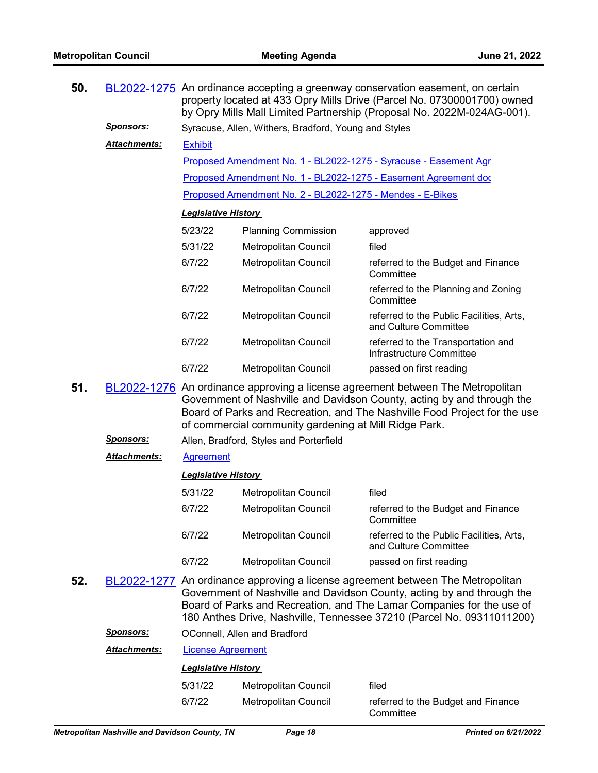| 50. |                  | BL2022-1275 An ordinance accepting a greenway conservation easement, on certain<br>property located at 433 Opry Mills Drive (Parcel No. 07300001700) owned<br>by Opry Mills Mall Limited Partnership (Proposal No. 2022M-024AG-001). |                                                           |                                                                                                                                                                                                                                                                                                             |  |  |  |
|-----|------------------|--------------------------------------------------------------------------------------------------------------------------------------------------------------------------------------------------------------------------------------|-----------------------------------------------------------|-------------------------------------------------------------------------------------------------------------------------------------------------------------------------------------------------------------------------------------------------------------------------------------------------------------|--|--|--|
|     | <b>Sponsors:</b> | Syracuse, Allen, Withers, Bradford, Young and Styles                                                                                                                                                                                 |                                                           |                                                                                                                                                                                                                                                                                                             |  |  |  |
|     | Attachments:     | <b>Exhibit</b>                                                                                                                                                                                                                       |                                                           |                                                                                                                                                                                                                                                                                                             |  |  |  |
|     |                  |                                                                                                                                                                                                                                      |                                                           | Proposed Amendment No. 1 - BL2022-1275 - Syracuse - Easement Agr                                                                                                                                                                                                                                            |  |  |  |
|     |                  |                                                                                                                                                                                                                                      |                                                           | Proposed Amendment No. 1 - BL2022-1275 - Easement Agreement doc                                                                                                                                                                                                                                             |  |  |  |
|     |                  |                                                                                                                                                                                                                                      | Proposed Amendment No. 2 - BL2022-1275 - Mendes - E-Bikes |                                                                                                                                                                                                                                                                                                             |  |  |  |
|     |                  | <b>Legislative History</b>                                                                                                                                                                                                           |                                                           |                                                                                                                                                                                                                                                                                                             |  |  |  |
|     |                  | 5/23/22                                                                                                                                                                                                                              | <b>Planning Commission</b>                                | approved                                                                                                                                                                                                                                                                                                    |  |  |  |
|     |                  | 5/31/22                                                                                                                                                                                                                              | <b>Metropolitan Council</b>                               | filed                                                                                                                                                                                                                                                                                                       |  |  |  |
|     |                  | 6/7/22                                                                                                                                                                                                                               | Metropolitan Council                                      | referred to the Budget and Finance<br>Committee                                                                                                                                                                                                                                                             |  |  |  |
|     |                  | 6/7/22                                                                                                                                                                                                                               | <b>Metropolitan Council</b>                               | referred to the Planning and Zoning<br>Committee                                                                                                                                                                                                                                                            |  |  |  |
|     |                  | 6/7/22                                                                                                                                                                                                                               | Metropolitan Council                                      | referred to the Public Facilities, Arts,<br>and Culture Committee                                                                                                                                                                                                                                           |  |  |  |
|     |                  | 6/7/22                                                                                                                                                                                                                               | Metropolitan Council                                      | referred to the Transportation and<br>Infrastructure Committee                                                                                                                                                                                                                                              |  |  |  |
|     |                  | 6/7/22                                                                                                                                                                                                                               | Metropolitan Council                                      | passed on first reading                                                                                                                                                                                                                                                                                     |  |  |  |
| 51. |                  |                                                                                                                                                                                                                                      | of commercial community gardening at Mill Ridge Park.     | BL2022-1276 An ordinance approving a license agreement between The Metropolitan<br>Government of Nashville and Davidson County, acting by and through the<br>Board of Parks and Recreation, and The Nashville Food Project for the use                                                                      |  |  |  |
|     | Sponsors:        |                                                                                                                                                                                                                                      | Allen, Bradford, Styles and Porterfield                   |                                                                                                                                                                                                                                                                                                             |  |  |  |
|     | Attachments:     | <b>Agreement</b>                                                                                                                                                                                                                     |                                                           |                                                                                                                                                                                                                                                                                                             |  |  |  |
|     |                  | <b>Legislative History</b>                                                                                                                                                                                                           |                                                           |                                                                                                                                                                                                                                                                                                             |  |  |  |
|     |                  | 5/31/22                                                                                                                                                                                                                              | <b>Metropolitan Council</b>                               | filed                                                                                                                                                                                                                                                                                                       |  |  |  |
|     |                  | 6/7/22                                                                                                                                                                                                                               | Metropolitan Council                                      | referred to the Budget and Finance<br>Committee                                                                                                                                                                                                                                                             |  |  |  |
|     |                  | 6/7/22                                                                                                                                                                                                                               | Metropolitan Council                                      | referred to the Public Facilities, Arts,<br>and Culture Committee                                                                                                                                                                                                                                           |  |  |  |
|     |                  | 6/7/22                                                                                                                                                                                                                               | <b>Metropolitan Council</b>                               | passed on first reading                                                                                                                                                                                                                                                                                     |  |  |  |
| 52. |                  |                                                                                                                                                                                                                                      |                                                           | BL2022-1277 An ordinance approving a license agreement between The Metropolitan<br>Government of Nashville and Davidson County, acting by and through the<br>Board of Parks and Recreation, and The Lamar Companies for the use of<br>180 Anthes Drive, Nashville, Tennessee 37210 (Parcel No. 09311011200) |  |  |  |
|     | Sponsors:        |                                                                                                                                                                                                                                      | OConnell, Allen and Bradford                              |                                                                                                                                                                                                                                                                                                             |  |  |  |

| <b>Metropolitan Nashville and Davidson County, TN</b> |                            | Page 18                                        | <b>Printed on 6/21/2022</b>                     |
|-------------------------------------------------------|----------------------------|------------------------------------------------|-------------------------------------------------|
|                                                       | 6/7/22                     | Metropolitan Council                           | referred to the Budget and Finance<br>Committee |
|                                                       | 5/31/22                    | Metropolitan Council                           | filed                                           |
|                                                       | <b>Legislative History</b> |                                                |                                                 |
| <b>Attachments:</b>                                   | License Agreement          |                                                |                                                 |
|                                                       |                            | $\sim$ 001 m 1011, 7 m 011 and 101 and 101 and |                                                 |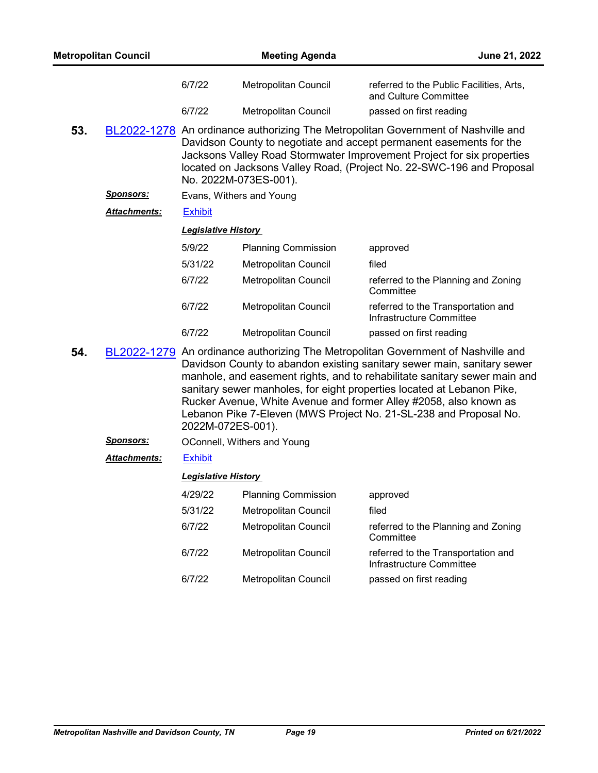| <b>Metropolitan Council</b> |                     |                            | <b>Meeting Agenda</b>                                                                                                                                                                                                                                                                                                                                                                                                                                         |                                                                   | June 21, 2022 |
|-----------------------------|---------------------|----------------------------|---------------------------------------------------------------------------------------------------------------------------------------------------------------------------------------------------------------------------------------------------------------------------------------------------------------------------------------------------------------------------------------------------------------------------------------------------------------|-------------------------------------------------------------------|---------------|
|                             |                     | 6/7/22                     | Metropolitan Council                                                                                                                                                                                                                                                                                                                                                                                                                                          | referred to the Public Facilities, Arts,<br>and Culture Committee |               |
|                             |                     | 6/7/22                     | Metropolitan Council                                                                                                                                                                                                                                                                                                                                                                                                                                          | passed on first reading                                           |               |
| 53.                         |                     |                            | BL2022-1278 An ordinance authorizing The Metropolitan Government of Nashville and<br>Davidson County to negotiate and accept permanent easements for the<br>Jacksons Valley Road Stormwater Improvement Project for six properties<br>located on Jacksons Valley Road, (Project No. 22-SWC-196 and Proposal<br>No. 2022M-073ES-001).                                                                                                                          |                                                                   |               |
|                             | Sponsors:           |                            | Evans, Withers and Young                                                                                                                                                                                                                                                                                                                                                                                                                                      |                                                                   |               |
|                             | <b>Attachments:</b> | <b>Exhibit</b>             |                                                                                                                                                                                                                                                                                                                                                                                                                                                               |                                                                   |               |
|                             |                     | <b>Legislative History</b> |                                                                                                                                                                                                                                                                                                                                                                                                                                                               |                                                                   |               |
|                             |                     | 5/9/22                     | <b>Planning Commission</b>                                                                                                                                                                                                                                                                                                                                                                                                                                    | approved                                                          |               |
|                             |                     | 5/31/22                    | Metropolitan Council                                                                                                                                                                                                                                                                                                                                                                                                                                          | filed                                                             |               |
|                             |                     | 6/7/22                     | Metropolitan Council                                                                                                                                                                                                                                                                                                                                                                                                                                          | referred to the Planning and Zoning<br>Committee                  |               |
|                             |                     | 6/7/22                     | Metropolitan Council                                                                                                                                                                                                                                                                                                                                                                                                                                          | referred to the Transportation and<br>Infrastructure Committee    |               |
|                             |                     | 6/7/22                     | Metropolitan Council                                                                                                                                                                                                                                                                                                                                                                                                                                          | passed on first reading                                           |               |
| 54.                         |                     | 2022M-072ES-001).          | BL2022-1279 An ordinance authorizing The Metropolitan Government of Nashville and<br>Davidson County to abandon existing sanitary sewer main, sanitary sewer<br>manhole, and easement rights, and to rehabilitate sanitary sewer main and<br>sanitary sewer manholes, for eight properties located at Lebanon Pike,<br>Rucker Avenue, White Avenue and former Alley #2058, also known as<br>Lebanon Pike 7-Eleven (MWS Project No. 21-SL-238 and Proposal No. |                                                                   |               |
|                             | <b>Sponsors:</b>    |                            | OConnell, Withers and Young                                                                                                                                                                                                                                                                                                                                                                                                                                   |                                                                   |               |
|                             | Attachments:        | <b>Exhibit</b>             |                                                                                                                                                                                                                                                                                                                                                                                                                                                               |                                                                   |               |
|                             |                     | <b>Legislative History</b> |                                                                                                                                                                                                                                                                                                                                                                                                                                                               |                                                                   |               |
|                             |                     |                            |                                                                                                                                                                                                                                                                                                                                                                                                                                                               |                                                                   |               |

| 4/29/22 | <b>Planning Commission</b>  | approved                                                       |
|---------|-----------------------------|----------------------------------------------------------------|
| 5/31/22 | Metropolitan Council        | filed                                                          |
| 6/7/22  | <b>Metropolitan Council</b> | referred to the Planning and Zoning<br>Committee               |
| 6/7/22  | Metropolitan Council        | referred to the Transportation and<br>Infrastructure Committee |
| 6/7/22  | Metropolitan Council        | passed on first reading                                        |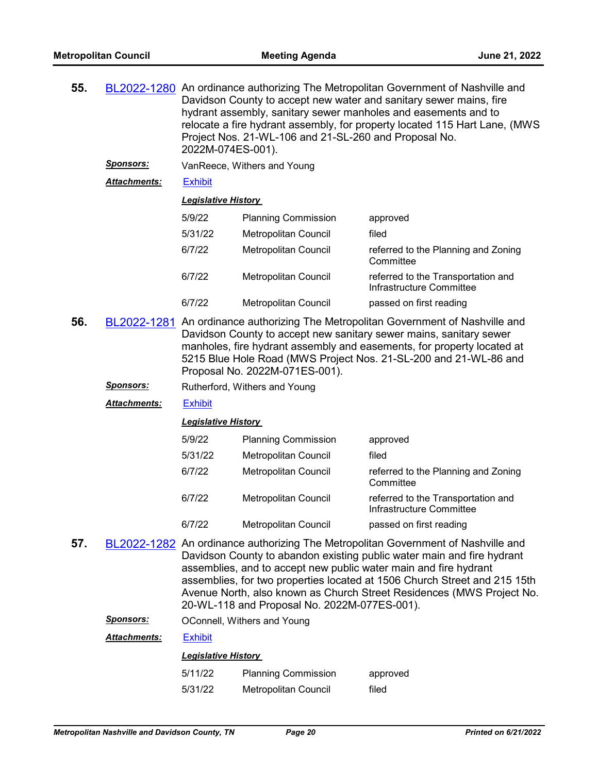| 55.                 |                  | BL2022-1280 An ordinance authorizing The Metropolitan Government of Nashville and<br>Davidson County to accept new water and sanitary sewer mains, fire<br>hydrant assembly, sanitary sewer manholes and easements and to<br>relocate a fire hydrant assembly, for property located 115 Hart Lane, (MWS<br>Project Nos. 21-WL-106 and 21-SL-260 and Proposal No.<br>2022M-074ES-001). |                             |                                                                                     |  |
|---------------------|------------------|---------------------------------------------------------------------------------------------------------------------------------------------------------------------------------------------------------------------------------------------------------------------------------------------------------------------------------------------------------------------------------------|-----------------------------|-------------------------------------------------------------------------------------|--|
|                     | <u>Sponsors:</u> |                                                                                                                                                                                                                                                                                                                                                                                       | VanReece, Withers and Young |                                                                                     |  |
| <b>Attachments:</b> |                  | <b>Exhibit</b>                                                                                                                                                                                                                                                                                                                                                                        |                             |                                                                                     |  |
|                     |                  | <b>Legislative History</b>                                                                                                                                                                                                                                                                                                                                                            |                             |                                                                                     |  |
|                     |                  | 5/9/22                                                                                                                                                                                                                                                                                                                                                                                | <b>Planning Commission</b>  | approved                                                                            |  |
|                     |                  | 5/31/22                                                                                                                                                                                                                                                                                                                                                                               | Metropolitan Council        | filed                                                                               |  |
|                     |                  | 6/7/22                                                                                                                                                                                                                                                                                                                                                                                | Metropolitan Council        | referred to the Planning and Zoning<br>Committee                                    |  |
|                     |                  | 6/7/22                                                                                                                                                                                                                                                                                                                                                                                | Metropolitan Council        | referred to the Transportation and<br>Infrastructure Committee                      |  |
|                     |                  | 6/7/22                                                                                                                                                                                                                                                                                                                                                                                | Metropolitan Council        | passed on first reading                                                             |  |
| 56                  |                  |                                                                                                                                                                                                                                                                                                                                                                                       |                             | RI 2022-1281. An ordinance authorizing The Metropolitan Government of Nashville and |  |

**56.** [BL2022-1281](http://nashville.legistar.com/gateway.aspx?m=l&id=/matter.aspx?key=14525) An ordinance authorizing The Metropolitan Government of Nashville and Davidson County to accept new sanitary sewer mains, sanitary sewer manholes, fire hydrant assembly and easements, for property located at 5215 Blue Hole Road (MWS Project Nos. 21-SL-200 and 21-WL-86 and Proposal No. 2022M-071ES-001).

**Sponsors:** Rutherford, Withers and Young

*Attachments:* [Exhibit](http://nashville.legistar.com/gateway.aspx?M=F&ID=80a4276e-ef59-4b54-8070-2a87795a7735.pdf)

#### *Legislative History*

| 5/9/22  | <b>Planning Commission</b>  | approved                                                       |
|---------|-----------------------------|----------------------------------------------------------------|
| 5/31/22 | <b>Metropolitan Council</b> | filed                                                          |
| 6/7/22  | Metropolitan Council        | referred to the Planning and Zoning<br>Committee               |
| 6/7/22  | <b>Metropolitan Council</b> | referred to the Transportation and<br>Infrastructure Committee |
| 6/7/22  | Metropolitan Council        | passed on first reading                                        |

**57.** [BL2022-1282](http://nashville.legistar.com/gateway.aspx?m=l&id=/matter.aspx?key=14607) An ordinance authorizing The Metropolitan Government of Nashville and Davidson County to abandon existing public water main and fire hydrant assemblies, and to accept new public water main and fire hydrant assemblies, for two properties located at 1506 Church Street and 215 15th Avenue North, also known as Church Street Residences (MWS Project No. 20-WL-118 and Proposal No. 2022M-077ES-001).

*Sponsors:* OConnell, Withers and Young

| Attachments: | <b>Exhibit</b> |
|--------------|----------------|
|--------------|----------------|

| 5/11/22 | <b>Planning Commission</b> | approved |
|---------|----------------------------|----------|
| 5/31/22 | Metropolitan Council       | filed    |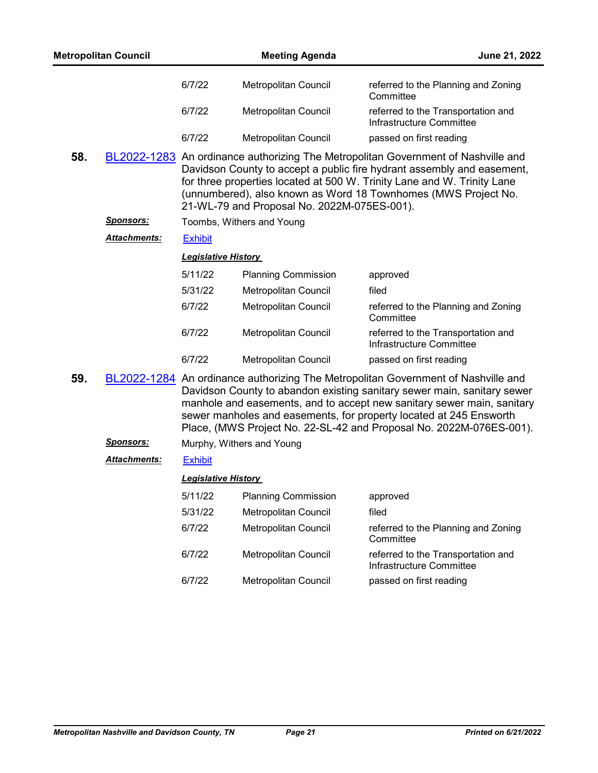|     | <b>Metropolitan Council</b> |                            | <b>Meeting Agenda</b>                       | June 21, 2022                                                                                                                                                                                                                                                                                                                                                                       |
|-----|-----------------------------|----------------------------|---------------------------------------------|-------------------------------------------------------------------------------------------------------------------------------------------------------------------------------------------------------------------------------------------------------------------------------------------------------------------------------------------------------------------------------------|
|     |                             | 6/7/22                     | Metropolitan Council                        | referred to the Planning and Zoning<br>Committee                                                                                                                                                                                                                                                                                                                                    |
|     |                             | 6/7/22                     | Metropolitan Council                        | referred to the Transportation and<br>Infrastructure Committee                                                                                                                                                                                                                                                                                                                      |
|     |                             | 6/7/22                     | Metropolitan Council                        | passed on first reading                                                                                                                                                                                                                                                                                                                                                             |
| 58. |                             |                            | 21-WL-79 and Proposal No. 2022M-075ES-001). | BL2022-1283 An ordinance authorizing The Metropolitan Government of Nashville and<br>Davidson County to accept a public fire hydrant assembly and easement,<br>for three properties located at 500 W. Trinity Lane and W. Trinity Lane<br>(unnumbered), also known as Word 18 Townhomes (MWS Project No.                                                                            |
|     | <u>Sponsors:</u>            |                            | Toombs, Withers and Young                   |                                                                                                                                                                                                                                                                                                                                                                                     |
|     | <b>Attachments:</b>         | <b>Exhibit</b>             |                                             |                                                                                                                                                                                                                                                                                                                                                                                     |
|     |                             | <b>Legislative History</b> |                                             |                                                                                                                                                                                                                                                                                                                                                                                     |
|     |                             | 5/11/22                    | <b>Planning Commission</b>                  | approved                                                                                                                                                                                                                                                                                                                                                                            |
|     |                             | 5/31/22                    | Metropolitan Council                        | filed                                                                                                                                                                                                                                                                                                                                                                               |
|     |                             | 6/7/22                     | Metropolitan Council                        | referred to the Planning and Zoning<br>Committee                                                                                                                                                                                                                                                                                                                                    |
|     |                             | 6/7/22                     | Metropolitan Council                        | referred to the Transportation and<br>Infrastructure Committee                                                                                                                                                                                                                                                                                                                      |
|     |                             | 6/7/22                     | Metropolitan Council                        | passed on first reading                                                                                                                                                                                                                                                                                                                                                             |
| 59. |                             |                            |                                             | BL2022-1284 An ordinance authorizing The Metropolitan Government of Nashville and<br>Davidson County to abandon existing sanitary sewer main, sanitary sewer<br>manhole and easements, and to accept new sanitary sewer main, sanitary<br>sewer manholes and easements, for property located at 245 Ensworth<br>Place, (MWS Project No. 22-SL-42 and Proposal No. 2022M-076ES-001). |
|     | <b>Sponsors:</b>            |                            | Murphy, Withers and Young                   |                                                                                                                                                                                                                                                                                                                                                                                     |
|     | <b>Attachments:</b>         | <b>Exhibit</b>             |                                             |                                                                                                                                                                                                                                                                                                                                                                                     |
|     |                             | <b>Legislative History</b> |                                             |                                                                                                                                                                                                                                                                                                                                                                                     |
|     |                             | 5/11/22                    | <b>Planning Commission</b>                  | approved                                                                                                                                                                                                                                                                                                                                                                            |
|     |                             | 5/31/22                    | Metropolitan Council                        | filed                                                                                                                                                                                                                                                                                                                                                                               |
|     |                             | 6/7/22                     | Metropolitan Council                        | referred to the Planning and Zoning<br>Committee                                                                                                                                                                                                                                                                                                                                    |
|     |                             | 6/7/22                     | <b>Metropolitan Council</b>                 | referred to the Transportation and<br>Infrastructure Committee                                                                                                                                                                                                                                                                                                                      |
|     |                             | 6/7/22                     | Metropolitan Council                        | passed on first reading                                                                                                                                                                                                                                                                                                                                                             |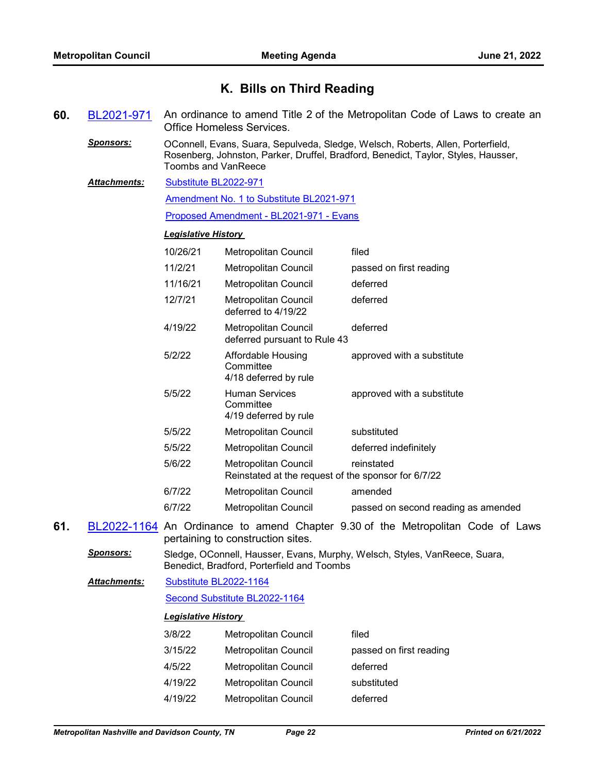## **K. Bills on Third Reading**

- **60.** [BL2021-971](http://nashville.legistar.com/gateway.aspx?m=l&id=/matter.aspx?key=13734) An ordinance to amend Title 2 of the Metropolitan Code of Laws to create an Office Homeless Services.
	- *Sponsors:* OConnell, Evans, Suara, Sepulveda, Sledge, Welsch, Roberts, Allen, Porterfield, Rosenberg, Johnston, Parker, Druffel, Bradford, Benedict, Taylor, Styles, Hausser, Toombs and VanReece
	- [Substitute BL2022-971](http://nashville.legistar.com/gateway.aspx?M=F&ID=73887e9a-5719-4c4b-8e73-235e9445c186.docx) *Attachments:*

[Amendment No. 1 to Substitute BL2021-971](http://nashville.legistar.com/gateway.aspx?M=F&ID=76a99df6-51fc-4b39-9ec9-57ec85c31ad6.docx)

[Proposed Amendment - BL2021-971 - Evans](http://nashville.legistar.com/gateway.aspx?M=F&ID=27d72145-cb50-48ec-9ed9-92b7076bc25a.docx)

## *Legislative History*

| 10/26/21 | Metropolitan Council                                                        | filed                               |
|----------|-----------------------------------------------------------------------------|-------------------------------------|
| 11/2/21  | Metropolitan Council                                                        | passed on first reading             |
| 11/16/21 | Metropolitan Council                                                        | deferred                            |
| 12/7/21  | Metropolitan Council<br>deferred to 4/19/22                                 | deferred                            |
| 4/19/22  | Metropolitan Council<br>deferred pursuant to Rule 43                        | deferred                            |
| 5/2/22   | Affordable Housing<br>Committee<br>4/18 deferred by rule                    | approved with a substitute          |
| 5/5/22   | <b>Human Services</b><br>Committee<br>4/19 deferred by rule                 | approved with a substitute          |
| 5/5/22   | Metropolitan Council                                                        | substituted                         |
| 5/5/22   | Metropolitan Council                                                        | deferred indefinitely               |
| 5/6/22   | Metropolitan Council<br>Reinstated at the request of the sponsor for 6/7/22 | reinstated                          |
| 6/7/22   | Metropolitan Council                                                        | amended                             |
| 6/7/22   | Metropolitan Council                                                        | passed on second reading as amended |
|          |                                                                             |                                     |

**61.** [BL2022-1164](http://nashville.legistar.com/gateway.aspx?m=l&id=/matter.aspx?key=14241) An Ordinance to amend Chapter 9.30 of the Metropolitan Code of Laws pertaining to construction sites.

*Sponsors:* Sledge, OConnell, Hausser, Evans, Murphy, Welsch, Styles, VanReece, Suara, Benedict, Bradford, Porterfield and Toombs

[Substitute BL2022-1164](http://nashville.legistar.com/gateway.aspx?M=F&ID=8f1e17aa-6245-4913-9728-87830341d48d.docx) [Second Substitute BL2022-1164](http://nashville.legistar.com/gateway.aspx?M=F&ID=93748bf3-0bd3-4c09-a81b-95425871b9ca.docx) *Attachments:*

| 3/8/22  | Metropolitan Council | filed                   |
|---------|----------------------|-------------------------|
| 3/15/22 | Metropolitan Council | passed on first reading |
| 4/5/22  | Metropolitan Council | deferred                |
| 4/19/22 | Metropolitan Council | substituted             |
| 4/19/22 | Metropolitan Council | deferred                |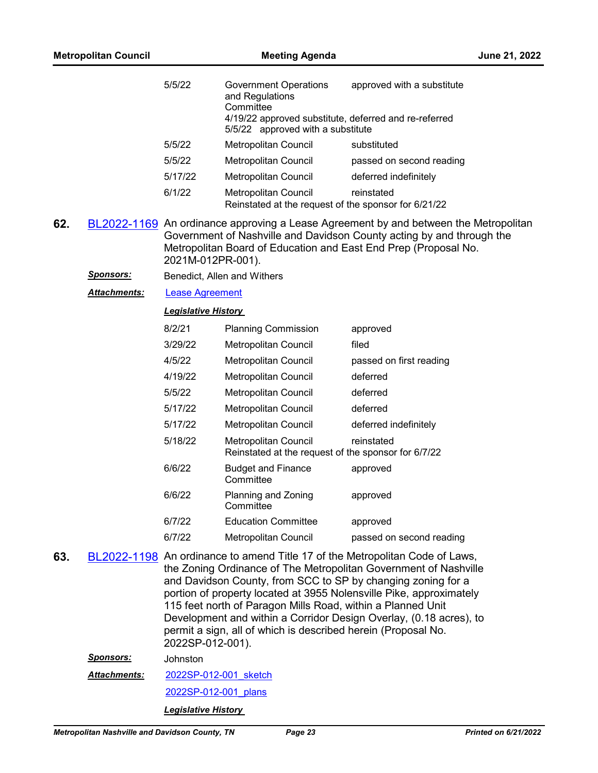|     | <b>Metropolitan Council</b> |                            | <b>Meeting Agenda</b>                                                                                                                                                                        |                                                                                                                                                                                                                                                                                               | June 21, 2022 |
|-----|-----------------------------|----------------------------|----------------------------------------------------------------------------------------------------------------------------------------------------------------------------------------------|-----------------------------------------------------------------------------------------------------------------------------------------------------------------------------------------------------------------------------------------------------------------------------------------------|---------------|
|     |                             | 5/5/22                     | Government Operations<br>and Regulations<br>Committee<br>4/19/22 approved substitute, deferred and re-referred                                                                               | approved with a substitute                                                                                                                                                                                                                                                                    |               |
|     |                             |                            | 5/5/22 approved with a substitute                                                                                                                                                            |                                                                                                                                                                                                                                                                                               |               |
|     |                             | 5/5/22                     | Metropolitan Council                                                                                                                                                                         | substituted                                                                                                                                                                                                                                                                                   |               |
|     |                             | 5/5/22                     | Metropolitan Council                                                                                                                                                                         | passed on second reading                                                                                                                                                                                                                                                                      |               |
|     |                             | 5/17/22                    | <b>Metropolitan Council</b>                                                                                                                                                                  | deferred indefinitely                                                                                                                                                                                                                                                                         |               |
|     |                             | 6/1/22                     | Metropolitan Council<br>Reinstated at the request of the sponsor for 6/21/22                                                                                                                 | reinstated                                                                                                                                                                                                                                                                                    |               |
| 62. |                             | 2021M-012PR-001).          |                                                                                                                                                                                              | BL2022-1169 An ordinance approving a Lease Agreement by and between the Metropolitan<br>Government of Nashville and Davidson County acting by and through the<br>Metropolitan Board of Education and East End Prep (Proposal No.                                                              |               |
|     | <u>Sponsors:</u>            |                            | Benedict, Allen and Withers                                                                                                                                                                  |                                                                                                                                                                                                                                                                                               |               |
|     | Attachments:                | <b>Lease Agreement</b>     |                                                                                                                                                                                              |                                                                                                                                                                                                                                                                                               |               |
|     |                             | <b>Legislative History</b> |                                                                                                                                                                                              |                                                                                                                                                                                                                                                                                               |               |
|     |                             | 8/2/21                     | <b>Planning Commission</b>                                                                                                                                                                   | approved                                                                                                                                                                                                                                                                                      |               |
|     |                             | 3/29/22                    | Metropolitan Council                                                                                                                                                                         | filed                                                                                                                                                                                                                                                                                         |               |
|     |                             | 4/5/22                     | Metropolitan Council                                                                                                                                                                         | passed on first reading                                                                                                                                                                                                                                                                       |               |
|     |                             | 4/19/22                    | Metropolitan Council                                                                                                                                                                         | deferred                                                                                                                                                                                                                                                                                      |               |
|     |                             | 5/5/22                     | Metropolitan Council                                                                                                                                                                         | deferred                                                                                                                                                                                                                                                                                      |               |
|     |                             | 5/17/22                    | Metropolitan Council                                                                                                                                                                         | deferred                                                                                                                                                                                                                                                                                      |               |
|     |                             | 5/17/22                    | Metropolitan Council                                                                                                                                                                         | deferred indefinitely                                                                                                                                                                                                                                                                         |               |
|     |                             | 5/18/22                    | Metropolitan Council<br>Reinstated at the request of the sponsor for 6/7/22                                                                                                                  | reinstated                                                                                                                                                                                                                                                                                    |               |
|     |                             | 6/6/22                     | <b>Budget and Finance</b><br>Committee                                                                                                                                                       | approved                                                                                                                                                                                                                                                                                      |               |
|     |                             | 6/6/22                     | Planning and Zoning<br>Committee                                                                                                                                                             | approved                                                                                                                                                                                                                                                                                      |               |
|     |                             | 6/7/22                     | <b>Education Committee</b>                                                                                                                                                                   | approved                                                                                                                                                                                                                                                                                      |               |
|     |                             | 6/7/22                     | <b>Metropolitan Council</b>                                                                                                                                                                  | passed on second reading                                                                                                                                                                                                                                                                      |               |
| 63. |                             | 2022SP-012-001).           | and Davidson County, from SCC to SP by changing zoning for a<br>115 feet north of Paragon Mills Road, within a Planned Unit<br>permit a sign, all of which is described herein (Proposal No. | BL2022-1198 An ordinance to amend Title 17 of the Metropolitan Code of Laws,<br>the Zoning Ordinance of The Metropolitan Government of Nashville<br>portion of property located at 3955 Nolensville Pike, approximately<br>Development and within a Corridor Design Overlay, (0.18 acres), to |               |
|     | <b>Sponsors:</b>            | Johnston                   |                                                                                                                                                                                              |                                                                                                                                                                                                                                                                                               |               |
|     | <u> Attachments:</u>        | 2022SP-012-001 sketch      |                                                                                                                                                                                              |                                                                                                                                                                                                                                                                                               |               |
|     |                             | 2022SP-012-001 plans       |                                                                                                                                                                                              |                                                                                                                                                                                                                                                                                               |               |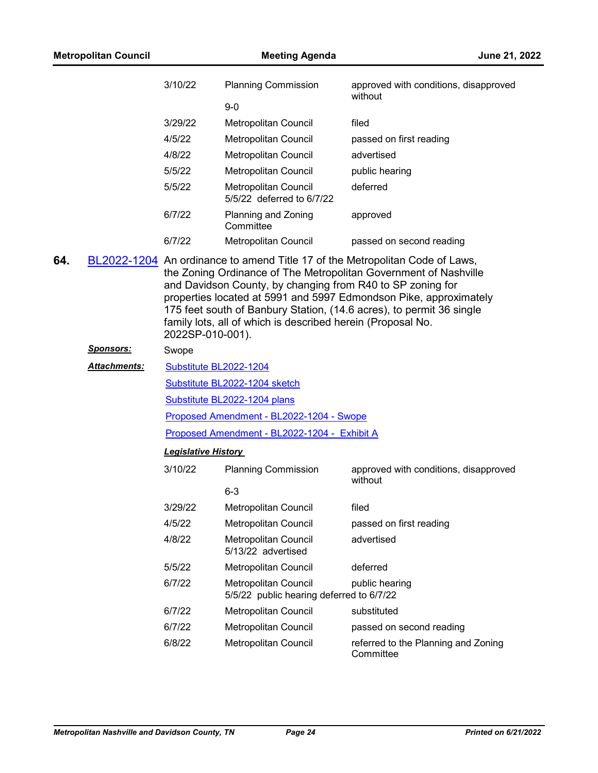|     | <b>Metropolitan Council</b> |                            | <b>Meeting Agenda</b>                                                                                                     | June 21, 2022                                                                                                                                                                                                                                                                                 |
|-----|-----------------------------|----------------------------|---------------------------------------------------------------------------------------------------------------------------|-----------------------------------------------------------------------------------------------------------------------------------------------------------------------------------------------------------------------------------------------------------------------------------------------|
|     |                             | 3/10/22                    | <b>Planning Commission</b>                                                                                                | approved with conditions, disapproved<br>without                                                                                                                                                                                                                                              |
|     |                             |                            | $9-0$                                                                                                                     |                                                                                                                                                                                                                                                                                               |
|     |                             | 3/29/22                    | Metropolitan Council                                                                                                      | filed                                                                                                                                                                                                                                                                                         |
|     |                             | 4/5/22                     | <b>Metropolitan Council</b>                                                                                               | passed on first reading                                                                                                                                                                                                                                                                       |
|     |                             | 4/8/22                     | Metropolitan Council                                                                                                      | advertised                                                                                                                                                                                                                                                                                    |
|     |                             | 5/5/22                     | Metropolitan Council                                                                                                      | public hearing                                                                                                                                                                                                                                                                                |
|     |                             | 5/5/22                     | Metropolitan Council<br>5/5/22 deferred to 6/7/22                                                                         | deferred                                                                                                                                                                                                                                                                                      |
|     |                             | 6/7/22                     | Planning and Zoning<br>Committee                                                                                          | approved                                                                                                                                                                                                                                                                                      |
|     |                             | 6/7/22                     | Metropolitan Council                                                                                                      | passed on second reading                                                                                                                                                                                                                                                                      |
| 64. |                             | 2022SP-010-001).           | and Davidson County, by changing from R40 to SP zoning for<br>family lots, all of which is described herein (Proposal No. | BL2022-1204 An ordinance to amend Title 17 of the Metropolitan Code of Laws,<br>the Zoning Ordinance of The Metropolitan Government of Nashville<br>properties located at 5991 and 5997 Edmondson Pike, approximately<br>175 feet south of Banbury Station, (14.6 acres), to permit 36 single |
|     | <u>Sponsors:</u>            | Swope                      |                                                                                                                           |                                                                                                                                                                                                                                                                                               |
|     | <b>Attachments:</b>         | Substitute BL2022-1204     |                                                                                                                           |                                                                                                                                                                                                                                                                                               |
|     |                             |                            | Substitute BL2022-1204 sketch                                                                                             |                                                                                                                                                                                                                                                                                               |
|     |                             |                            | Substitute BL2022-1204 plans                                                                                              |                                                                                                                                                                                                                                                                                               |
|     |                             |                            | Proposed Amendment - BL2022-1204 - Swope                                                                                  |                                                                                                                                                                                                                                                                                               |
|     |                             |                            | Proposed Amendment - BL2022-1204 - Exhibit A                                                                              |                                                                                                                                                                                                                                                                                               |
|     |                             | <b>Legislative History</b> |                                                                                                                           |                                                                                                                                                                                                                                                                                               |
|     |                             | 3/10/22                    | <b>Planning Commission</b>                                                                                                | approved with conditions, disapproved<br>without                                                                                                                                                                                                                                              |
|     |                             |                            | $6 - 3$                                                                                                                   |                                                                                                                                                                                                                                                                                               |
|     |                             | 3/29/22                    | Metropolitan Council                                                                                                      | filed                                                                                                                                                                                                                                                                                         |
|     |                             | 4/5/22                     | Metropolitan Council                                                                                                      | passed on first reading                                                                                                                                                                                                                                                                       |
|     |                             | 4/8/22                     | Metropolitan Council<br>5/13/22 advertised                                                                                | advertised                                                                                                                                                                                                                                                                                    |
|     |                             | 5/5/22                     | Metropolitan Council                                                                                                      | deferred                                                                                                                                                                                                                                                                                      |
|     |                             | 6/7/22                     | <b>Metropolitan Council</b><br>5/5/22 public hearing deferred to 6/7/22                                                   | public hearing                                                                                                                                                                                                                                                                                |
|     |                             | 6/7/22                     | Metropolitan Council                                                                                                      | substituted                                                                                                                                                                                                                                                                                   |
|     |                             | 6/7/22                     | Metropolitan Council                                                                                                      | passed on second reading                                                                                                                                                                                                                                                                      |
|     |                             | 6/8/22                     | Metropolitan Council                                                                                                      | referred to the Planning and Zoning<br>Committee                                                                                                                                                                                                                                              |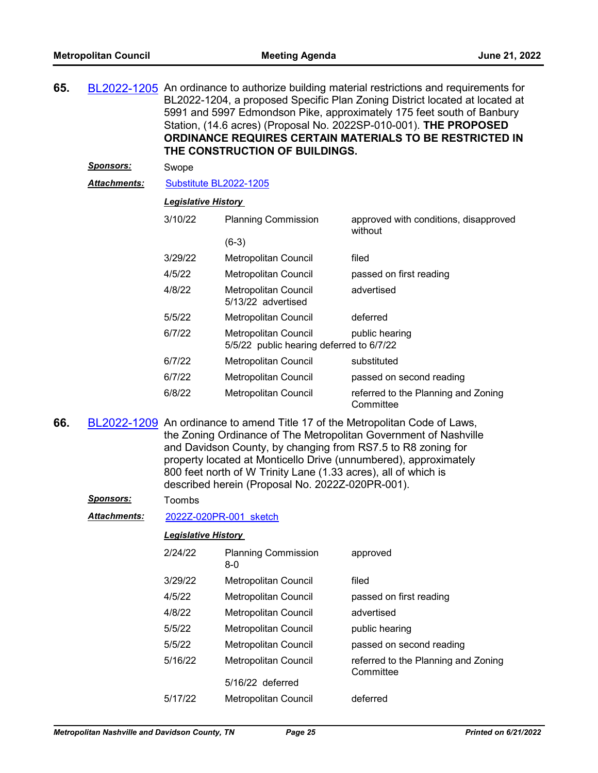**65.** [BL2022-1205](http://nashville.legistar.com/gateway.aspx?m=l&id=/matter.aspx?key=14307) An ordinance to authorize building material restrictions and requirements for BL2022-1204, a proposed Specific Plan Zoning District located at located at 5991 and 5997 Edmondson Pike, approximately 175 feet south of Banbury Station, (14.6 acres) (Proposal No. 2022SP-010-001). **THE PROPOSED ORDINANCE REQUIRES CERTAIN MATERIALS TO BE RESTRICTED IN THE CONSTRUCTION OF BUILDINGS.**

### *Sponsors:* Swope

#### *Attachments:* [Substitute BL2022-1205](http://nashville.legistar.com/gateway.aspx?M=F&ID=59281fac-c5d4-414f-b5fd-b2349af48832.docx)

## *Legislative History*

| 3/10/22 | <b>Planning Commission</b>                                              | approved with conditions, disapproved<br>without |
|---------|-------------------------------------------------------------------------|--------------------------------------------------|
|         | $(6-3)$                                                                 |                                                  |
| 3/29/22 | <b>Metropolitan Council</b>                                             | filed                                            |
| 4/5/22  | Metropolitan Council                                                    | passed on first reading                          |
| 4/8/22  | <b>Metropolitan Council</b><br>5/13/22 advertised                       | advertised                                       |
| 5/5/22  | Metropolitan Council                                                    | deferred                                         |
| 6/7/22  | <b>Metropolitan Council</b><br>5/5/22 public hearing deferred to 6/7/22 | public hearing                                   |
| 6/7/22  | Metropolitan Council                                                    | substituted                                      |
| 6/7/22  | Metropolitan Council                                                    | passed on second reading                         |
| 6/8/22  | <b>Metropolitan Council</b>                                             | referred to the Planning and Zoning<br>Committee |

**66.** [BL2022-1209](http://nashville.legistar.com/gateway.aspx?m=l&id=/matter.aspx?key=14290) An ordinance to amend Title 17 of the Metropolitan Code of Laws, the Zoning Ordinance of The Metropolitan Government of Nashville and Davidson County, by changing from RS7.5 to R8 zoning for property located at Monticello Drive (unnumbered), approximately 800 feet north of W Trinity Lane (1.33 acres), all of which is described herein (Proposal No. 2022Z-020PR-001).

#### *Sponsors:* Toombs

*Attachments:* [2022Z-020PR-001\\_sketch](http://nashville.legistar.com/gateway.aspx?M=F&ID=dd001182-ca44-4a92-aaec-a6d344a15687.docx)

| 2/24/22 | <b>Planning Commission</b><br>$8-0$ | approved                                         |
|---------|-------------------------------------|--------------------------------------------------|
| 3/29/22 | <b>Metropolitan Council</b>         | filed                                            |
| 4/5/22  | Metropolitan Council                | passed on first reading                          |
| 4/8/22  | Metropolitan Council                | advertised                                       |
| 5/5/22  | Metropolitan Council                | public hearing                                   |
| 5/5/22  | Metropolitan Council                | passed on second reading                         |
| 5/16/22 | Metropolitan Council                | referred to the Planning and Zoning<br>Committee |
|         | $5/16/22$ deferred                  |                                                  |
| 5/17/22 | <b>Metropolitan Council</b>         | deferred                                         |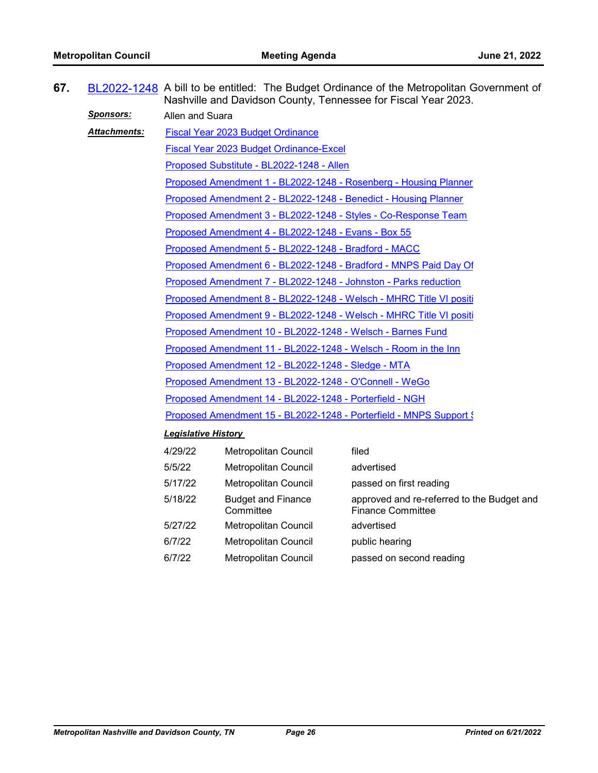| 67. |                     | BL2022-1248 A bill to be entitled: The Budget Ordinance of the Metropolitan Government of<br>Nashville and Davidson County, Tennessee for Fiscal Year 2023. |                                        |                                                                        |  |  |
|-----|---------------------|-------------------------------------------------------------------------------------------------------------------------------------------------------------|----------------------------------------|------------------------------------------------------------------------|--|--|
|     | <u>Sponsors:</u>    | Allen and Suara                                                                                                                                             |                                        |                                                                        |  |  |
|     | <b>Attachments:</b> | <b>Fiscal Year 2023 Budget Ordinance</b>                                                                                                                    |                                        |                                                                        |  |  |
|     |                     | Fiscal Year 2023 Budget Ordinance-Excel                                                                                                                     |                                        |                                                                        |  |  |
|     |                     | Proposed Substitute - BL2022-1248 - Allen                                                                                                                   |                                        |                                                                        |  |  |
|     |                     | Proposed Amendment 1 - BL2022-1248 - Rosenberg - Housing Planner                                                                                            |                                        |                                                                        |  |  |
|     |                     | Proposed Amendment 2 - BL2022-1248 - Benedict - Housing Planner                                                                                             |                                        |                                                                        |  |  |
|     |                     | Proposed Amendment 3 - BL2022-1248 - Styles - Co-Response Team                                                                                              |                                        |                                                                        |  |  |
|     |                     | Proposed Amendment 4 - BL2022-1248 - Evans - Box 55                                                                                                         |                                        |                                                                        |  |  |
|     |                     | Proposed Amendment 5 - BL2022-1248 - Bradford - MACC                                                                                                        |                                        |                                                                        |  |  |
|     |                     | Proposed Amendment 6 - BL2022-1248 - Bradford - MNPS Paid Day Of                                                                                            |                                        |                                                                        |  |  |
|     |                     | Proposed Amendment 7 - BL2022-1248 - Johnston - Parks reduction                                                                                             |                                        |                                                                        |  |  |
|     |                     | Proposed Amendment 8 - BL2022-1248 - Welsch - MHRC Title VI positi                                                                                          |                                        |                                                                        |  |  |
|     |                     | Proposed Amendment 9 - BL2022-1248 - Welsch - MHRC Title VI positi                                                                                          |                                        |                                                                        |  |  |
|     |                     | Proposed Amendment 10 - BL2022-1248 - Welsch - Barnes Fund                                                                                                  |                                        |                                                                        |  |  |
|     |                     | Proposed Amendment 11 - BL2022-1248 - Welsch - Room in the Inn                                                                                              |                                        |                                                                        |  |  |
|     |                     | Proposed Amendment 12 - BL2022-1248 - Sledge - MTA                                                                                                          |                                        |                                                                        |  |  |
|     |                     | Proposed Amendment 13 - BL2022-1248 - O'Connell - WeGo                                                                                                      |                                        |                                                                        |  |  |
|     |                     | Proposed Amendment 14 - BL2022-1248 - Porterfield - NGH                                                                                                     |                                        |                                                                        |  |  |
|     |                     | Proposed Amendment 15 - BL2022-1248 - Porterfield - MNPS Support {                                                                                          |                                        |                                                                        |  |  |
|     |                     | <b>Legislative History</b>                                                                                                                                  |                                        |                                                                        |  |  |
|     |                     | 4/29/22                                                                                                                                                     | Metropolitan Council                   | filed                                                                  |  |  |
|     |                     | 5/5/22                                                                                                                                                      | Metropolitan Council                   | advertised                                                             |  |  |
|     |                     | 5/17/22                                                                                                                                                     | Metropolitan Council                   | passed on first reading                                                |  |  |
|     |                     | 5/18/22                                                                                                                                                     | <b>Budget and Finance</b><br>Committee | approved and re-referred to the Budget and<br><b>Finance Committee</b> |  |  |
|     |                     | 5/27/22                                                                                                                                                     | Metropolitan Council                   | advertised                                                             |  |  |
|     |                     | 6/7/22                                                                                                                                                      | <b>Metropolitan Council</b>            | public hearing                                                         |  |  |

6/7/22 Metropolitan Council passed on second reading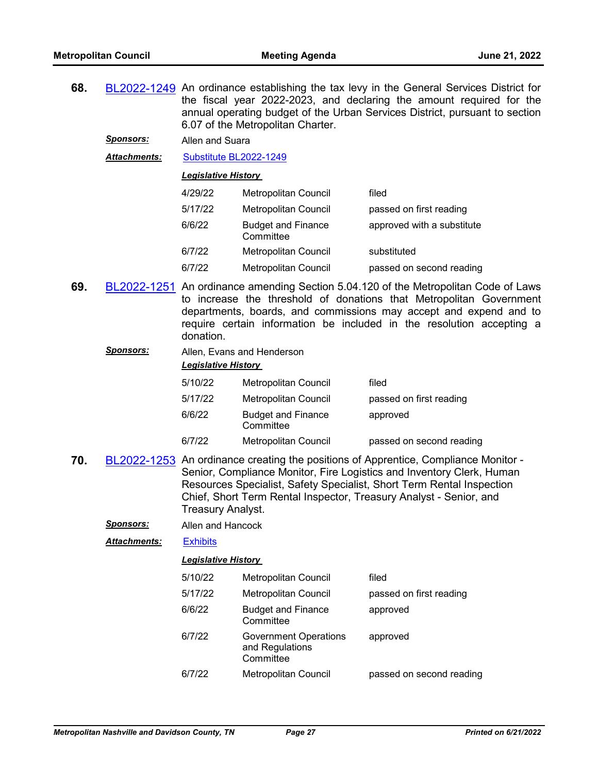**68.** [BL2022-1249](http://nashville.legistar.com/gateway.aspx?m=l&id=/matter.aspx?key=14438) An ordinance establishing the tax levy in the General Services District for the fiscal year 2022-2023, and declaring the amount required for the annual operating budget of the Urban Services District, pursuant to section 6.07 of the Metropolitan Charter.

*Sponsors:* Allen and Suara

*Attachments:* [Substitute BL2022-1249](http://nashville.legistar.com/gateway.aspx?M=F&ID=f5ff3733-51d5-447f-8a86-4e7771930a44.docx)

*Legislative History* 

| 4/29/22 | Metropolitan Council                   | filed                      |
|---------|----------------------------------------|----------------------------|
| 5/17/22 | Metropolitan Council                   | passed on first reading    |
| 6/6/22  | <b>Budget and Finance</b><br>Committee | approved with a substitute |
| 6/7/22  | <b>Metropolitan Council</b>            | substituted                |
| 6/7/22  | Metropolitan Council                   | passed on second reading   |

**69.** [BL2022-1251](http://nashville.legistar.com/gateway.aspx?m=l&id=/matter.aspx?key=14484) An ordinance amending Section 5.04.120 of the Metropolitan Code of Laws to increase the threshold of donations that Metropolitan Government departments, boards, and commissions may accept and expend and to require certain information be included in the resolution accepting a donation.

*Sponsors:* Allen, Evans and Henderson

| <b>Legislative History</b> |                                        |                          |  |  |
|----------------------------|----------------------------------------|--------------------------|--|--|
| 5/10/22                    | Metropolitan Council                   | filed                    |  |  |
| 5/17/22                    | Metropolitan Council                   | passed on first reading  |  |  |
| 6/6/22                     | <b>Budget and Finance</b><br>Committee | approved                 |  |  |
| 6/7/22                     | Metropolitan Council                   | passed on second reading |  |  |

**70.** [BL2022-1253](http://nashville.legistar.com/gateway.aspx?m=l&id=/matter.aspx?key=14459) An ordinance creating the positions of Apprentice, Compliance Monitor - Senior, Compliance Monitor, Fire Logistics and Inventory Clerk, Human Resources Specialist, Safety Specialist, Short Term Rental Inspection Chief, Short Term Rental Inspector, Treasury Analyst - Senior, and Treasury Analyst.

*Sponsors:* Allen and Hancock

*Attachments:* [Exhibits](http://nashville.legistar.com/gateway.aspx?M=F&ID=f4932703-d0f3-46db-bc0e-217bc2bb53b3.pdf)

| 5/10/22 | <b>Metropolitan Council</b>                                  | filed                    |
|---------|--------------------------------------------------------------|--------------------------|
| 5/17/22 | <b>Metropolitan Council</b>                                  | passed on first reading  |
| 6/6/22  | <b>Budget and Finance</b><br>Committee                       | approved                 |
| 6/7/22  | <b>Government Operations</b><br>and Regulations<br>Committee | approved                 |
| 6/7/22  | <b>Metropolitan Council</b>                                  | passed on second reading |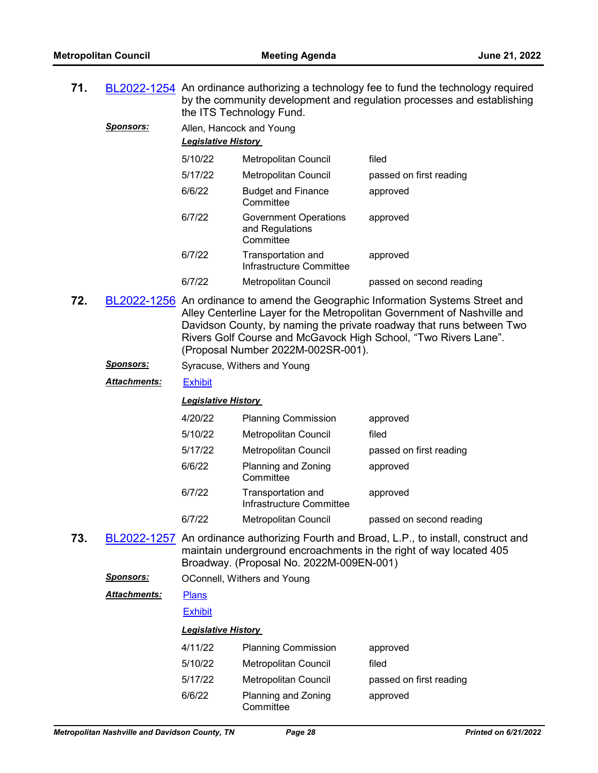| 71. |                 | BL2022-1254 An ordinance authorizing a technology fee to fund the technology required |
|-----|-----------------|---------------------------------------------------------------------------------------|
|     |                 | by the community development and regulation processes and establishing                |
|     |                 | the ITS Technology Fund.                                                              |
|     | <b>Snoncore</b> | Allan Honocolcond Vouna                                                               |

*Sponsors:* Allen, Hancock and Young *Legislative History*  5/10/22 Metropolitan Council filed 5/17/22 Metropolitan Council passed on first reading 6/6/22 Budget and Finance **Committee** approved 6/7/22 Government Operations and Regulations **Committee** approved 6/7/22 Transportation and Infrastructure Committee approved

6/7/22 Metropolitan Council passed on second reading

**72.** [BL2022-1256](http://nashville.legistar.com/gateway.aspx?m=l&id=/matter.aspx?key=14442) An ordinance to amend the Geographic Information Systems Street and Alley Centerline Layer for the Metropolitan Government of Nashville and Davidson County, by naming the private roadway that runs between Two Rivers Golf Course and McGavock High School, "Two Rivers Lane". (Proposal Number 2022M-002SR-001).

**Sponsors:** Syracuse, Withers and Young

*Attachments:* [Exhibit](http://nashville.legistar.com/gateway.aspx?M=F&ID=01ad5ce9-7be9-4c4f-b7b9-e218af22fd64.docx)

## *Legislative History*

| 4/20/22 | <b>Planning Commission</b>                     | approved                 |
|---------|------------------------------------------------|--------------------------|
| 5/10/22 | <b>Metropolitan Council</b>                    | filed                    |
| 5/17/22 | <b>Metropolitan Council</b>                    | passed on first reading  |
| 6/6/22  | Planning and Zoning<br>Committee               | approved                 |
| 6/7/22  | Transportation and<br>Infrastructure Committee | approved                 |
| 6/7/22  | <b>Metropolitan Council</b>                    | passed on second reading |

**73.** [BL2022-1257](http://nashville.legistar.com/gateway.aspx?m=l&id=/matter.aspx?key=14464) An ordinance authorizing Fourth and Broad, L.P., to install, construct and maintain underground encroachments in the right of way located 405 Broadway. (Proposal No. 2022M-009EN-001)

*Sponsors:* OConnell, Withers and Young

[Plans](http://nashville.legistar.com/gateway.aspx?M=F&ID=c825b03e-9bf9-455c-a10c-23cef0cd4207.PDF) *Attachments:*

#### **[Exhibit](http://nashville.legistar.com/gateway.aspx?M=F&ID=75d10191-e251-4307-84f2-ba1233c952b6.pdf)**

| 4/11/22 | <b>Planning Commission</b>       | approved                |
|---------|----------------------------------|-------------------------|
| 5/10/22 | <b>Metropolitan Council</b>      | filed                   |
| 5/17/22 | <b>Metropolitan Council</b>      | passed on first reading |
| 6/6/22  | Planning and Zoning<br>Committee | approved                |